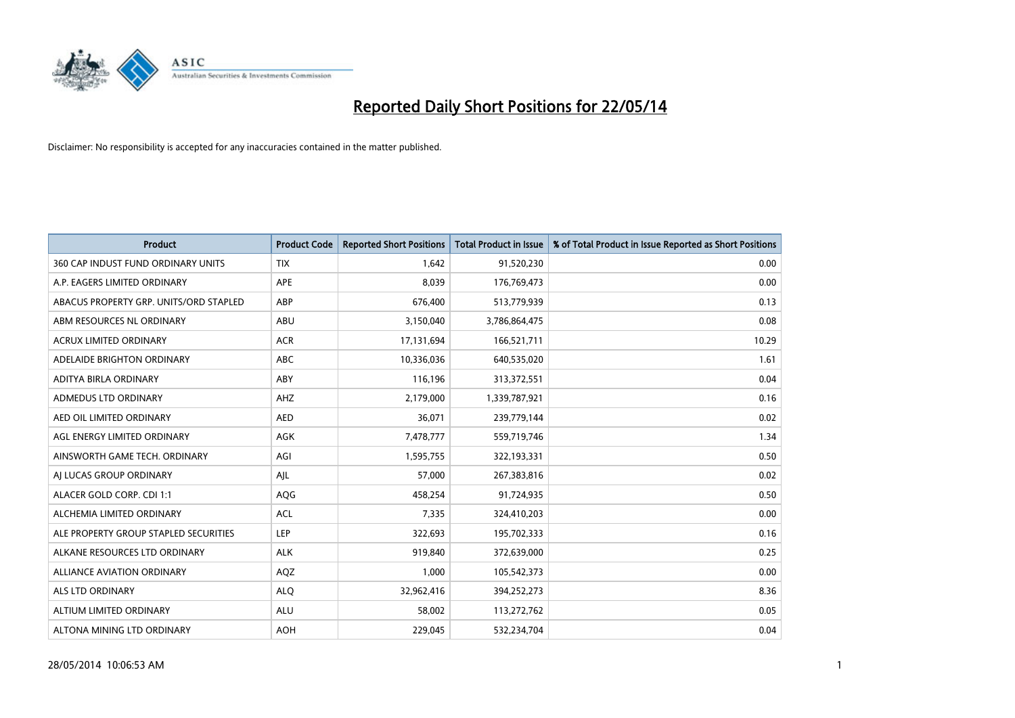

| <b>Product</b>                         | <b>Product Code</b> | <b>Reported Short Positions</b> | <b>Total Product in Issue</b> | % of Total Product in Issue Reported as Short Positions |
|----------------------------------------|---------------------|---------------------------------|-------------------------------|---------------------------------------------------------|
| 360 CAP INDUST FUND ORDINARY UNITS     | <b>TIX</b>          | 1,642                           | 91,520,230                    | 0.00                                                    |
| A.P. EAGERS LIMITED ORDINARY           | APE                 | 8,039                           | 176,769,473                   | 0.00                                                    |
| ABACUS PROPERTY GRP. UNITS/ORD STAPLED | ABP                 | 676,400                         | 513,779,939                   | 0.13                                                    |
| ABM RESOURCES NL ORDINARY              | ABU                 | 3,150,040                       | 3,786,864,475                 | 0.08                                                    |
| <b>ACRUX LIMITED ORDINARY</b>          | <b>ACR</b>          | 17,131,694                      | 166,521,711                   | 10.29                                                   |
| ADELAIDE BRIGHTON ORDINARY             | <b>ABC</b>          | 10,336,036                      | 640,535,020                   | 1.61                                                    |
| ADITYA BIRLA ORDINARY                  | ABY                 | 116,196                         | 313,372,551                   | 0.04                                                    |
| ADMEDUS LTD ORDINARY                   | AHZ                 | 2,179,000                       | 1,339,787,921                 | 0.16                                                    |
| AED OIL LIMITED ORDINARY               | <b>AED</b>          | 36,071                          | 239,779,144                   | 0.02                                                    |
| AGL ENERGY LIMITED ORDINARY            | AGK                 | 7,478,777                       | 559,719,746                   | 1.34                                                    |
| AINSWORTH GAME TECH. ORDINARY          | AGI                 | 1,595,755                       | 322,193,331                   | 0.50                                                    |
| AI LUCAS GROUP ORDINARY                | AJL                 | 57,000                          | 267,383,816                   | 0.02                                                    |
| ALACER GOLD CORP. CDI 1:1              | AQG                 | 458,254                         | 91,724,935                    | 0.50                                                    |
| ALCHEMIA LIMITED ORDINARY              | <b>ACL</b>          | 7,335                           | 324,410,203                   | 0.00                                                    |
| ALE PROPERTY GROUP STAPLED SECURITIES  | LEP                 | 322,693                         | 195,702,333                   | 0.16                                                    |
| ALKANE RESOURCES LTD ORDINARY          | <b>ALK</b>          | 919,840                         | 372,639,000                   | 0.25                                                    |
| ALLIANCE AVIATION ORDINARY             | AQZ                 | 1,000                           | 105,542,373                   | 0.00                                                    |
| <b>ALS LTD ORDINARY</b>                | <b>ALQ</b>          | 32,962,416                      | 394,252,273                   | 8.36                                                    |
| ALTIUM LIMITED ORDINARY                | <b>ALU</b>          | 58,002                          | 113,272,762                   | 0.05                                                    |
| ALTONA MINING LTD ORDINARY             | <b>AOH</b>          | 229,045                         | 532,234,704                   | 0.04                                                    |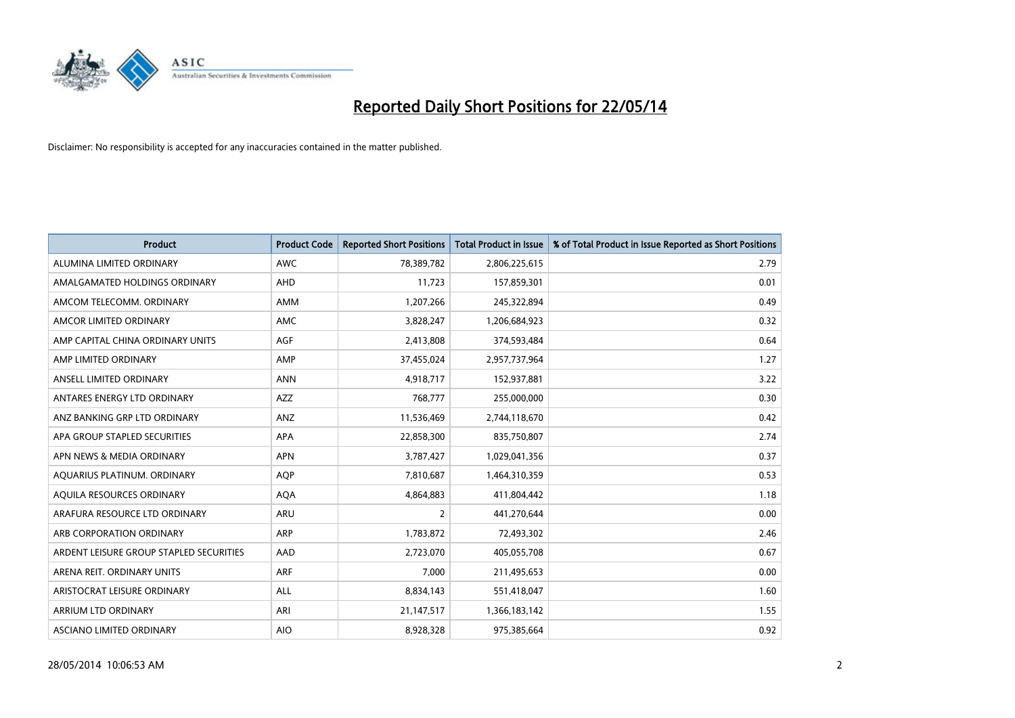

| <b>Product</b>                          | <b>Product Code</b> | <b>Reported Short Positions</b> | <b>Total Product in Issue</b> | % of Total Product in Issue Reported as Short Positions |
|-----------------------------------------|---------------------|---------------------------------|-------------------------------|---------------------------------------------------------|
| ALUMINA LIMITED ORDINARY                | <b>AWC</b>          | 78,389,782                      | 2,806,225,615                 | 2.79                                                    |
| AMALGAMATED HOLDINGS ORDINARY           | AHD                 | 11,723                          | 157,859,301                   | 0.01                                                    |
| AMCOM TELECOMM. ORDINARY                | <b>AMM</b>          | 1,207,266                       | 245,322,894                   | 0.49                                                    |
| AMCOR LIMITED ORDINARY                  | AMC                 | 3,828,247                       | 1,206,684,923                 | 0.32                                                    |
| AMP CAPITAL CHINA ORDINARY UNITS        | AGF                 | 2,413,808                       | 374,593,484                   | 0.64                                                    |
| AMP LIMITED ORDINARY                    | AMP                 | 37,455,024                      | 2,957,737,964                 | 1.27                                                    |
| ANSELL LIMITED ORDINARY                 | <b>ANN</b>          | 4,918,717                       | 152,937,881                   | 3.22                                                    |
| ANTARES ENERGY LTD ORDINARY             | AZZ                 | 768,777                         | 255,000,000                   | 0.30                                                    |
| ANZ BANKING GRP LTD ORDINARY            | ANZ                 | 11,536,469                      | 2,744,118,670                 | 0.42                                                    |
| APA GROUP STAPLED SECURITIES            | <b>APA</b>          | 22,858,300                      | 835,750,807                   | 2.74                                                    |
| APN NEWS & MEDIA ORDINARY               | <b>APN</b>          | 3,787,427                       | 1,029,041,356                 | 0.37                                                    |
| AQUARIUS PLATINUM. ORDINARY             | <b>AOP</b>          | 7,810,687                       | 1,464,310,359                 | 0.53                                                    |
| AQUILA RESOURCES ORDINARY               | <b>AQA</b>          | 4,864,883                       | 411,804,442                   | 1.18                                                    |
| ARAFURA RESOURCE LTD ORDINARY           | <b>ARU</b>          | 2                               | 441,270,644                   | 0.00                                                    |
| ARB CORPORATION ORDINARY                | ARP                 | 1,783,872                       | 72,493,302                    | 2.46                                                    |
| ARDENT LEISURE GROUP STAPLED SECURITIES | AAD                 | 2,723,070                       | 405,055,708                   | 0.67                                                    |
| ARENA REIT. ORDINARY UNITS              | <b>ARF</b>          | 7,000                           | 211,495,653                   | 0.00                                                    |
| ARISTOCRAT LEISURE ORDINARY             | <b>ALL</b>          | 8,834,143                       | 551,418,047                   | 1.60                                                    |
| ARRIUM LTD ORDINARY                     | ARI                 | 21,147,517                      | 1,366,183,142                 | 1.55                                                    |
| ASCIANO LIMITED ORDINARY                | <b>AIO</b>          | 8,928,328                       | 975,385,664                   | 0.92                                                    |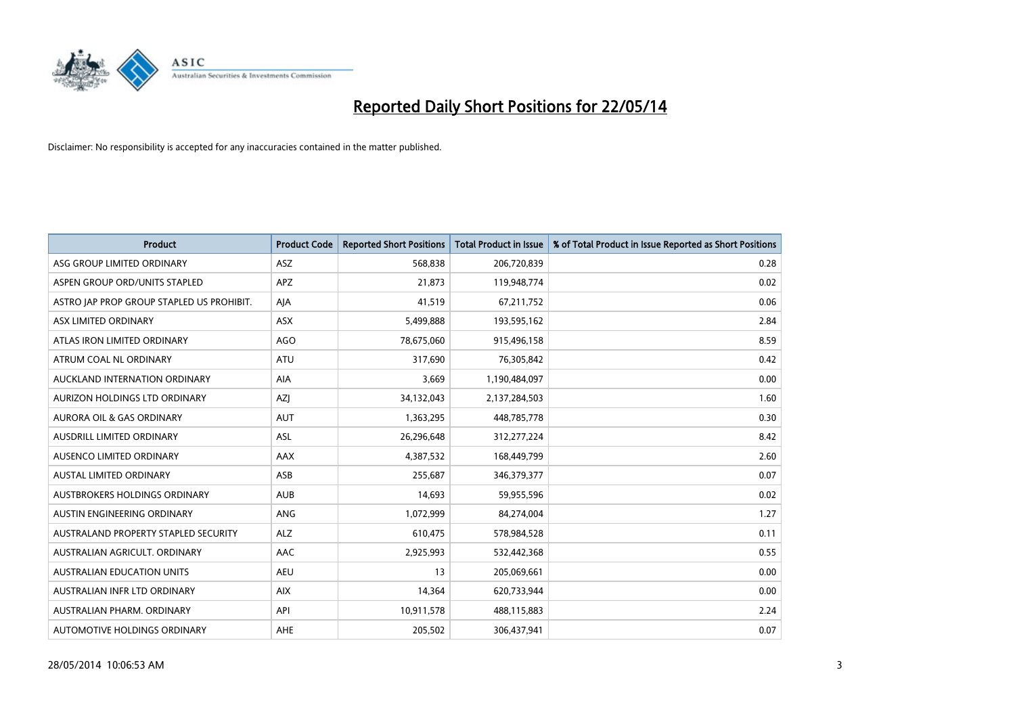

| <b>Product</b>                            | <b>Product Code</b> | <b>Reported Short Positions</b> | <b>Total Product in Issue</b> | % of Total Product in Issue Reported as Short Positions |
|-------------------------------------------|---------------------|---------------------------------|-------------------------------|---------------------------------------------------------|
| ASG GROUP LIMITED ORDINARY                | ASZ                 | 568,838                         | 206,720,839                   | 0.28                                                    |
| ASPEN GROUP ORD/UNITS STAPLED             | <b>APZ</b>          | 21,873                          | 119,948,774                   | 0.02                                                    |
| ASTRO JAP PROP GROUP STAPLED US PROHIBIT. | AJA                 | 41,519                          | 67,211,752                    | 0.06                                                    |
| ASX LIMITED ORDINARY                      | ASX                 | 5,499,888                       | 193,595,162                   | 2.84                                                    |
| ATLAS IRON LIMITED ORDINARY               | <b>AGO</b>          | 78,675,060                      | 915,496,158                   | 8.59                                                    |
| ATRUM COAL NL ORDINARY                    | ATU                 | 317,690                         | 76,305,842                    | 0.42                                                    |
| AUCKLAND INTERNATION ORDINARY             | AIA                 | 3,669                           | 1,190,484,097                 | 0.00                                                    |
| AURIZON HOLDINGS LTD ORDINARY             | AZJ                 | 34,132,043                      | 2,137,284,503                 | 1.60                                                    |
| <b>AURORA OIL &amp; GAS ORDINARY</b>      | <b>AUT</b>          | 1,363,295                       | 448,785,778                   | 0.30                                                    |
| AUSDRILL LIMITED ORDINARY                 | <b>ASL</b>          | 26,296,648                      | 312,277,224                   | 8.42                                                    |
| AUSENCO LIMITED ORDINARY                  | AAX                 | 4,387,532                       | 168,449,799                   | 2.60                                                    |
| <b>AUSTAL LIMITED ORDINARY</b>            | ASB                 | 255,687                         | 346,379,377                   | 0.07                                                    |
| <b>AUSTBROKERS HOLDINGS ORDINARY</b>      | <b>AUB</b>          | 14,693                          | 59,955,596                    | 0.02                                                    |
| AUSTIN ENGINEERING ORDINARY               | ANG                 | 1,072,999                       | 84,274,004                    | 1.27                                                    |
| AUSTRALAND PROPERTY STAPLED SECURITY      | <b>ALZ</b>          | 610,475                         | 578,984,528                   | 0.11                                                    |
| AUSTRALIAN AGRICULT, ORDINARY             | AAC                 | 2,925,993                       | 532,442,368                   | 0.55                                                    |
| <b>AUSTRALIAN EDUCATION UNITS</b>         | <b>AEU</b>          | 13                              | 205,069,661                   | 0.00                                                    |
| AUSTRALIAN INFR LTD ORDINARY              | <b>AIX</b>          | 14,364                          | 620,733,944                   | 0.00                                                    |
| AUSTRALIAN PHARM, ORDINARY                | API                 | 10,911,578                      | 488,115,883                   | 2.24                                                    |
| AUTOMOTIVE HOLDINGS ORDINARY              | <b>AHE</b>          | 205,502                         | 306,437,941                   | 0.07                                                    |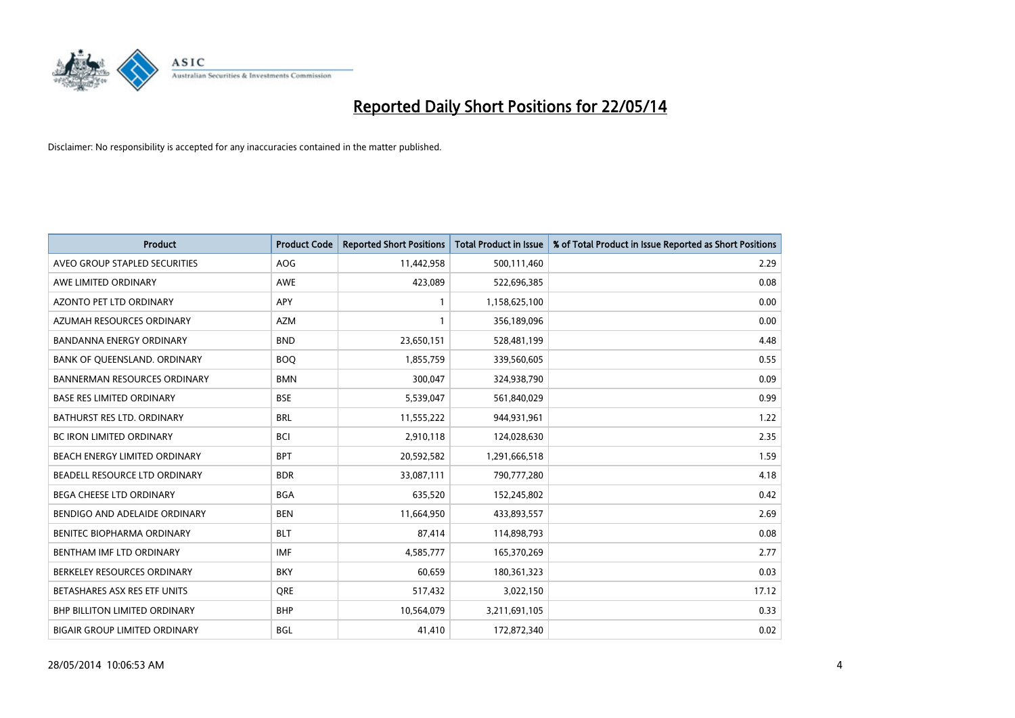

| <b>Product</b>                       | <b>Product Code</b> | <b>Reported Short Positions</b> | <b>Total Product in Issue</b> | % of Total Product in Issue Reported as Short Positions |
|--------------------------------------|---------------------|---------------------------------|-------------------------------|---------------------------------------------------------|
| AVEO GROUP STAPLED SECURITIES        | <b>AOG</b>          | 11,442,958                      | 500,111,460                   | 2.29                                                    |
| AWE LIMITED ORDINARY                 | AWE                 | 423,089                         | 522,696,385                   | 0.08                                                    |
| <b>AZONTO PET LTD ORDINARY</b>       | APY                 | $\mathbf{1}$                    | 1,158,625,100                 | 0.00                                                    |
| AZUMAH RESOURCES ORDINARY            | <b>AZM</b>          | $\mathbf{1}$                    | 356,189,096                   | 0.00                                                    |
| <b>BANDANNA ENERGY ORDINARY</b>      | <b>BND</b>          | 23,650,151                      | 528,481,199                   | 4.48                                                    |
| BANK OF QUEENSLAND. ORDINARY         | <b>BOO</b>          | 1,855,759                       | 339,560,605                   | 0.55                                                    |
| <b>BANNERMAN RESOURCES ORDINARY</b>  | <b>BMN</b>          | 300.047                         | 324,938,790                   | 0.09                                                    |
| <b>BASE RES LIMITED ORDINARY</b>     | <b>BSE</b>          | 5,539,047                       | 561,840,029                   | 0.99                                                    |
| BATHURST RES LTD. ORDINARY           | <b>BRL</b>          | 11,555,222                      | 944,931,961                   | 1.22                                                    |
| <b>BC IRON LIMITED ORDINARY</b>      | <b>BCI</b>          | 2,910,118                       | 124,028,630                   | 2.35                                                    |
| BEACH ENERGY LIMITED ORDINARY        | <b>BPT</b>          | 20,592,582                      | 1,291,666,518                 | 1.59                                                    |
| BEADELL RESOURCE LTD ORDINARY        | <b>BDR</b>          | 33,087,111                      | 790,777,280                   | 4.18                                                    |
| <b>BEGA CHEESE LTD ORDINARY</b>      | <b>BGA</b>          | 635,520                         | 152,245,802                   | 0.42                                                    |
| BENDIGO AND ADELAIDE ORDINARY        | <b>BEN</b>          | 11,664,950                      | 433,893,557                   | 2.69                                                    |
| BENITEC BIOPHARMA ORDINARY           | <b>BLT</b>          | 87,414                          | 114,898,793                   | 0.08                                                    |
| BENTHAM IMF LTD ORDINARY             | <b>IMF</b>          | 4,585,777                       | 165,370,269                   | 2.77                                                    |
| BERKELEY RESOURCES ORDINARY          | <b>BKY</b>          | 60,659                          | 180,361,323                   | 0.03                                                    |
| BETASHARES ASX RES ETF UNITS         | <b>ORE</b>          | 517,432                         | 3,022,150                     | 17.12                                                   |
| BHP BILLITON LIMITED ORDINARY        | <b>BHP</b>          | 10,564,079                      | 3,211,691,105                 | 0.33                                                    |
| <b>BIGAIR GROUP LIMITED ORDINARY</b> | <b>BGL</b>          | 41,410                          | 172,872,340                   | 0.02                                                    |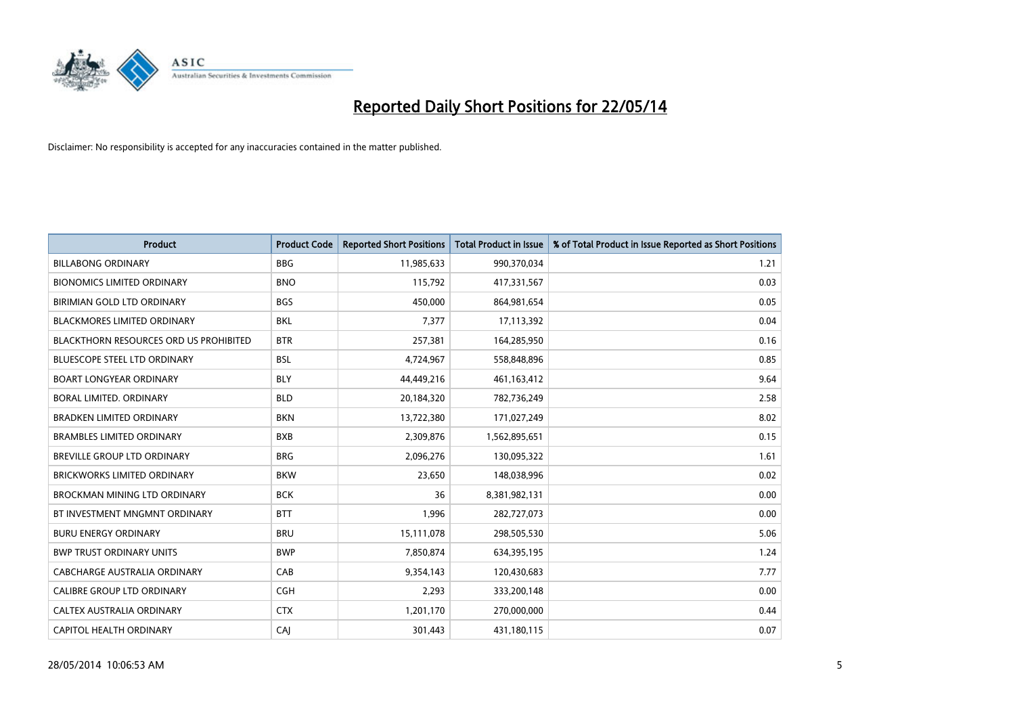

| <b>Product</b>                                | <b>Product Code</b> | <b>Reported Short Positions</b> | <b>Total Product in Issue</b> | % of Total Product in Issue Reported as Short Positions |
|-----------------------------------------------|---------------------|---------------------------------|-------------------------------|---------------------------------------------------------|
| <b>BILLABONG ORDINARY</b>                     | <b>BBG</b>          | 11,985,633                      | 990,370,034                   | 1.21                                                    |
| <b>BIONOMICS LIMITED ORDINARY</b>             | <b>BNO</b>          | 115,792                         | 417,331,567                   | 0.03                                                    |
| BIRIMIAN GOLD LTD ORDINARY                    | <b>BGS</b>          | 450,000                         | 864,981,654                   | 0.05                                                    |
| <b>BLACKMORES LIMITED ORDINARY</b>            | <b>BKL</b>          | 7,377                           | 17,113,392                    | 0.04                                                    |
| <b>BLACKTHORN RESOURCES ORD US PROHIBITED</b> | <b>BTR</b>          | 257,381                         | 164,285,950                   | 0.16                                                    |
| <b>BLUESCOPE STEEL LTD ORDINARY</b>           | <b>BSL</b>          | 4,724,967                       | 558,848,896                   | 0.85                                                    |
| <b>BOART LONGYEAR ORDINARY</b>                | <b>BLY</b>          | 44,449,216                      | 461,163,412                   | 9.64                                                    |
| BORAL LIMITED. ORDINARY                       | <b>BLD</b>          | 20,184,320                      | 782,736,249                   | 2.58                                                    |
| <b>BRADKEN LIMITED ORDINARY</b>               | <b>BKN</b>          | 13,722,380                      | 171,027,249                   | 8.02                                                    |
| <b>BRAMBLES LIMITED ORDINARY</b>              | <b>BXB</b>          | 2,309,876                       | 1,562,895,651                 | 0.15                                                    |
| BREVILLE GROUP LTD ORDINARY                   | <b>BRG</b>          | 2,096,276                       | 130,095,322                   | 1.61                                                    |
| <b>BRICKWORKS LIMITED ORDINARY</b>            | <b>BKW</b>          | 23,650                          | 148,038,996                   | 0.02                                                    |
| BROCKMAN MINING LTD ORDINARY                  | <b>BCK</b>          | 36                              | 8,381,982,131                 | 0.00                                                    |
| BT INVESTMENT MNGMNT ORDINARY                 | <b>BTT</b>          | 1,996                           | 282,727,073                   | 0.00                                                    |
| <b>BURU ENERGY ORDINARY</b>                   | <b>BRU</b>          | 15,111,078                      | 298,505,530                   | 5.06                                                    |
| <b>BWP TRUST ORDINARY UNITS</b>               | <b>BWP</b>          | 7,850,874                       | 634,395,195                   | 1.24                                                    |
| CABCHARGE AUSTRALIA ORDINARY                  | CAB                 | 9,354,143                       | 120,430,683                   | 7.77                                                    |
| CALIBRE GROUP LTD ORDINARY                    | <b>CGH</b>          | 2,293                           | 333,200,148                   | 0.00                                                    |
| CALTEX AUSTRALIA ORDINARY                     | <b>CTX</b>          | 1,201,170                       | 270,000,000                   | 0.44                                                    |
| CAPITOL HEALTH ORDINARY                       | CAJ                 | 301,443                         | 431,180,115                   | 0.07                                                    |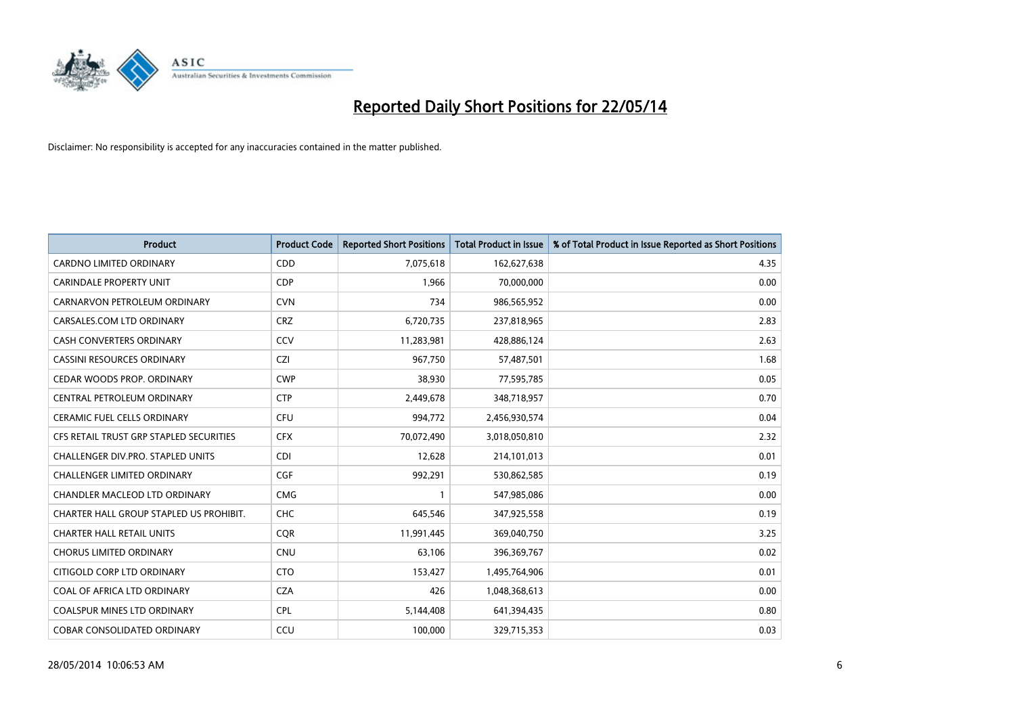

| <b>Product</b>                          | <b>Product Code</b> | <b>Reported Short Positions</b> | <b>Total Product in Issue</b> | % of Total Product in Issue Reported as Short Positions |
|-----------------------------------------|---------------------|---------------------------------|-------------------------------|---------------------------------------------------------|
| <b>CARDNO LIMITED ORDINARY</b>          | CDD                 | 7,075,618                       | 162,627,638                   | 4.35                                                    |
| <b>CARINDALE PROPERTY UNIT</b>          | <b>CDP</b>          | 1,966                           | 70,000,000                    | 0.00                                                    |
| CARNARVON PETROLEUM ORDINARY            | <b>CVN</b>          | 734                             | 986,565,952                   | 0.00                                                    |
| CARSALES.COM LTD ORDINARY               | <b>CRZ</b>          | 6,720,735                       | 237,818,965                   | 2.83                                                    |
| <b>CASH CONVERTERS ORDINARY</b>         | CCV                 | 11,283,981                      | 428,886,124                   | 2.63                                                    |
| <b>CASSINI RESOURCES ORDINARY</b>       | <b>CZI</b>          | 967,750                         | 57,487,501                    | 1.68                                                    |
| CEDAR WOODS PROP. ORDINARY              | <b>CWP</b>          | 38,930                          | 77,595,785                    | 0.05                                                    |
| CENTRAL PETROLEUM ORDINARY              | <b>CTP</b>          | 2,449,678                       | 348,718,957                   | 0.70                                                    |
| <b>CERAMIC FUEL CELLS ORDINARY</b>      | <b>CFU</b>          | 994,772                         | 2,456,930,574                 | 0.04                                                    |
| CFS RETAIL TRUST GRP STAPLED SECURITIES | <b>CFX</b>          | 70,072,490                      | 3,018,050,810                 | 2.32                                                    |
| CHALLENGER DIV.PRO. STAPLED UNITS       | <b>CDI</b>          | 12,628                          | 214,101,013                   | 0.01                                                    |
| <b>CHALLENGER LIMITED ORDINARY</b>      | <b>CGF</b>          | 992,291                         | 530,862,585                   | 0.19                                                    |
| CHANDLER MACLEOD LTD ORDINARY           | <b>CMG</b>          | $\mathbf{1}$                    | 547,985,086                   | 0.00                                                    |
| CHARTER HALL GROUP STAPLED US PROHIBIT. | <b>CHC</b>          | 645,546                         | 347,925,558                   | 0.19                                                    |
| <b>CHARTER HALL RETAIL UNITS</b>        | CQR                 | 11,991,445                      | 369,040,750                   | 3.25                                                    |
| <b>CHORUS LIMITED ORDINARY</b>          | <b>CNU</b>          | 63,106                          | 396,369,767                   | 0.02                                                    |
| CITIGOLD CORP LTD ORDINARY              | <b>CTO</b>          | 153,427                         | 1,495,764,906                 | 0.01                                                    |
| COAL OF AFRICA LTD ORDINARY             | <b>CZA</b>          | 426                             | 1,048,368,613                 | 0.00                                                    |
| <b>COALSPUR MINES LTD ORDINARY</b>      | <b>CPL</b>          | 5,144,408                       | 641,394,435                   | 0.80                                                    |
| <b>COBAR CONSOLIDATED ORDINARY</b>      | CCU                 | 100,000                         | 329,715,353                   | 0.03                                                    |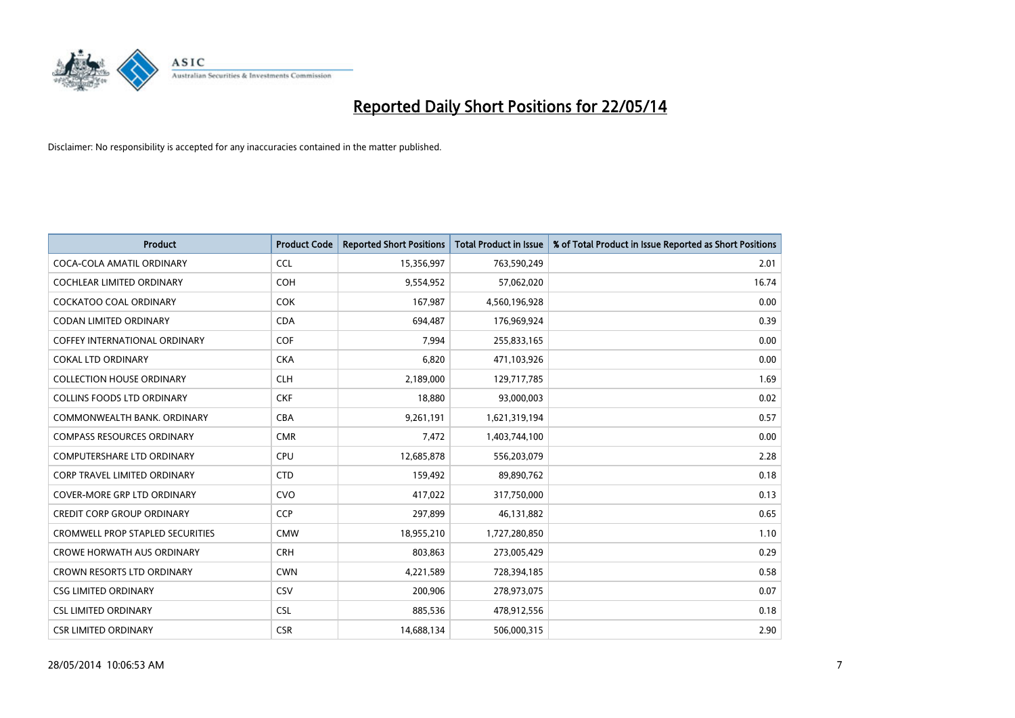

| <b>Product</b>                          | <b>Product Code</b> | <b>Reported Short Positions</b> | <b>Total Product in Issue</b> | % of Total Product in Issue Reported as Short Positions |
|-----------------------------------------|---------------------|---------------------------------|-------------------------------|---------------------------------------------------------|
| COCA-COLA AMATIL ORDINARY               | <b>CCL</b>          | 15,356,997                      | 763,590,249                   | 2.01                                                    |
| <b>COCHLEAR LIMITED ORDINARY</b>        | <b>COH</b>          | 9,554,952                       | 57,062,020                    | 16.74                                                   |
| <b>COCKATOO COAL ORDINARY</b>           | <b>COK</b>          | 167,987                         | 4,560,196,928                 | 0.00                                                    |
| <b>CODAN LIMITED ORDINARY</b>           | <b>CDA</b>          | 694,487                         | 176,969,924                   | 0.39                                                    |
| <b>COFFEY INTERNATIONAL ORDINARY</b>    | <b>COF</b>          | 7,994                           | 255,833,165                   | 0.00                                                    |
| <b>COKAL LTD ORDINARY</b>               | <b>CKA</b>          | 6,820                           | 471,103,926                   | 0.00                                                    |
| <b>COLLECTION HOUSE ORDINARY</b>        | <b>CLH</b>          | 2,189,000                       | 129,717,785                   | 1.69                                                    |
| <b>COLLINS FOODS LTD ORDINARY</b>       | <b>CKF</b>          | 18,880                          | 93,000,003                    | 0.02                                                    |
| COMMONWEALTH BANK, ORDINARY             | <b>CBA</b>          | 9,261,191                       | 1,621,319,194                 | 0.57                                                    |
| <b>COMPASS RESOURCES ORDINARY</b>       | <b>CMR</b>          | 7,472                           | 1,403,744,100                 | 0.00                                                    |
| COMPUTERSHARE LTD ORDINARY              | <b>CPU</b>          | 12,685,878                      | 556,203,079                   | 2.28                                                    |
| <b>CORP TRAVEL LIMITED ORDINARY</b>     | <b>CTD</b>          | 159,492                         | 89,890,762                    | 0.18                                                    |
| <b>COVER-MORE GRP LTD ORDINARY</b>      | <b>CVO</b>          | 417,022                         | 317,750,000                   | 0.13                                                    |
| <b>CREDIT CORP GROUP ORDINARY</b>       | <b>CCP</b>          | 297,899                         | 46,131,882                    | 0.65                                                    |
| <b>CROMWELL PROP STAPLED SECURITIES</b> | <b>CMW</b>          | 18,955,210                      | 1,727,280,850                 | 1.10                                                    |
| <b>CROWE HORWATH AUS ORDINARY</b>       | <b>CRH</b>          | 803,863                         | 273,005,429                   | 0.29                                                    |
| CROWN RESORTS LTD ORDINARY              | <b>CWN</b>          | 4,221,589                       | 728,394,185                   | 0.58                                                    |
| <b>CSG LIMITED ORDINARY</b>             | CSV                 | 200,906                         | 278,973,075                   | 0.07                                                    |
| <b>CSL LIMITED ORDINARY</b>             | <b>CSL</b>          | 885,536                         | 478,912,556                   | 0.18                                                    |
| <b>CSR LIMITED ORDINARY</b>             | <b>CSR</b>          | 14,688,134                      | 506,000,315                   | 2.90                                                    |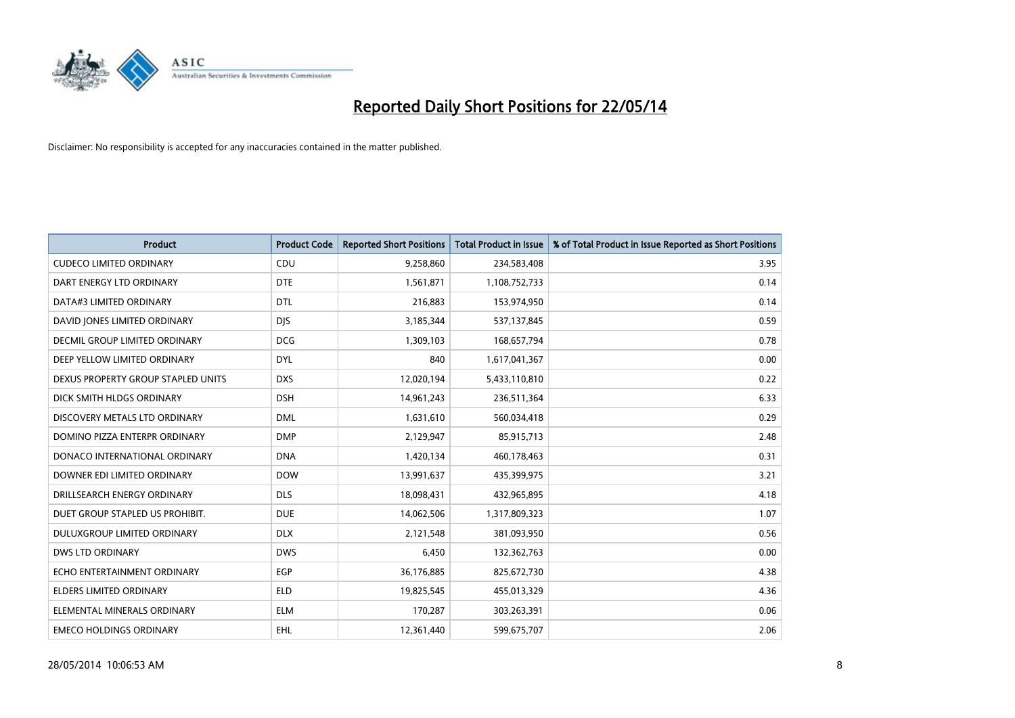

| <b>Product</b>                       | <b>Product Code</b> | <b>Reported Short Positions</b> | <b>Total Product in Issue</b> | % of Total Product in Issue Reported as Short Positions |
|--------------------------------------|---------------------|---------------------------------|-------------------------------|---------------------------------------------------------|
| <b>CUDECO LIMITED ORDINARY</b>       | CDU                 | 9,258,860                       | 234,583,408                   | 3.95                                                    |
| DART ENERGY LTD ORDINARY             | <b>DTE</b>          | 1,561,871                       | 1,108,752,733                 | 0.14                                                    |
| DATA#3 LIMITED ORDINARY              | <b>DTL</b>          | 216,883                         | 153,974,950                   | 0.14                                                    |
| DAVID JONES LIMITED ORDINARY         | <b>DIS</b>          | 3,185,344                       | 537,137,845                   | 0.59                                                    |
| <b>DECMIL GROUP LIMITED ORDINARY</b> | <b>DCG</b>          | 1,309,103                       | 168,657,794                   | 0.78                                                    |
| DEEP YELLOW LIMITED ORDINARY         | <b>DYL</b>          | 840                             | 1,617,041,367                 | 0.00                                                    |
| DEXUS PROPERTY GROUP STAPLED UNITS   | <b>DXS</b>          | 12,020,194                      | 5,433,110,810                 | 0.22                                                    |
| DICK SMITH HLDGS ORDINARY            | <b>DSH</b>          | 14,961,243                      | 236,511,364                   | 6.33                                                    |
| DISCOVERY METALS LTD ORDINARY        | <b>DML</b>          | 1,631,610                       | 560,034,418                   | 0.29                                                    |
| DOMINO PIZZA ENTERPR ORDINARY        | <b>DMP</b>          | 2,129,947                       | 85,915,713                    | 2.48                                                    |
| DONACO INTERNATIONAL ORDINARY        | <b>DNA</b>          | 1,420,134                       | 460,178,463                   | 0.31                                                    |
| DOWNER EDI LIMITED ORDINARY          | <b>DOW</b>          | 13,991,637                      | 435,399,975                   | 3.21                                                    |
| DRILLSEARCH ENERGY ORDINARY          | <b>DLS</b>          | 18,098,431                      | 432,965,895                   | 4.18                                                    |
| DUET GROUP STAPLED US PROHIBIT.      | <b>DUE</b>          | 14,062,506                      | 1,317,809,323                 | 1.07                                                    |
| DULUXGROUP LIMITED ORDINARY          | <b>DLX</b>          | 2,121,548                       | 381,093,950                   | 0.56                                                    |
| <b>DWS LTD ORDINARY</b>              | <b>DWS</b>          | 6,450                           | 132,362,763                   | 0.00                                                    |
| ECHO ENTERTAINMENT ORDINARY          | <b>EGP</b>          | 36,176,885                      | 825,672,730                   | 4.38                                                    |
| <b>ELDERS LIMITED ORDINARY</b>       | <b>ELD</b>          | 19,825,545                      | 455,013,329                   | 4.36                                                    |
| ELEMENTAL MINERALS ORDINARY          | ELM                 | 170,287                         | 303,263,391                   | 0.06                                                    |
| <b>EMECO HOLDINGS ORDINARY</b>       | <b>EHL</b>          | 12,361,440                      | 599,675,707                   | 2.06                                                    |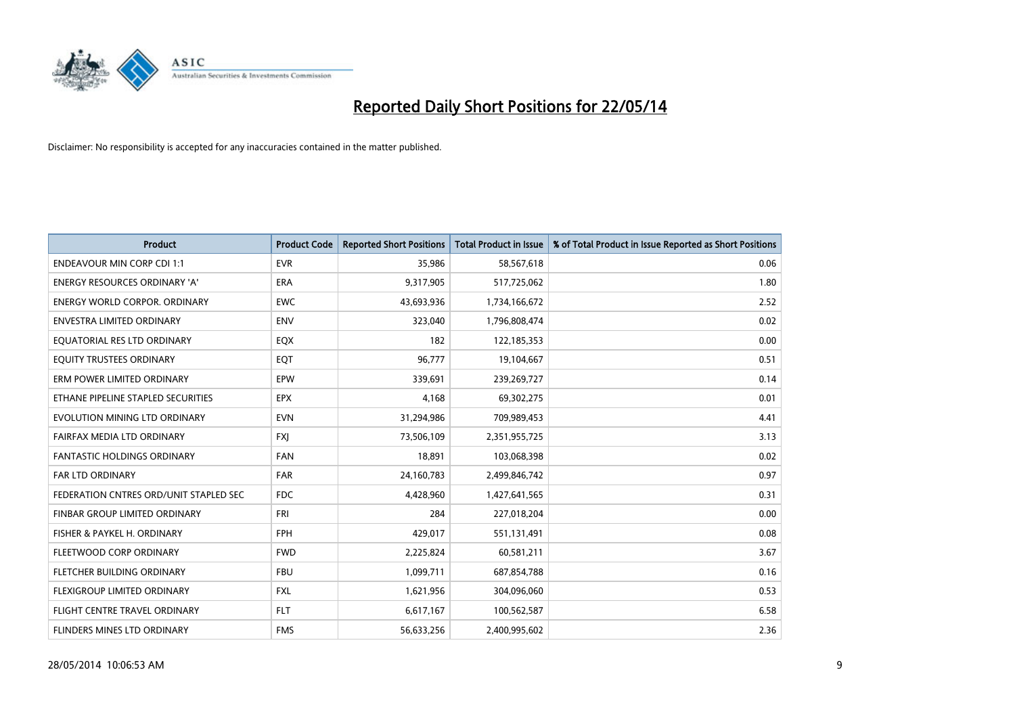

| <b>Product</b>                         | <b>Product Code</b> | <b>Reported Short Positions</b> | <b>Total Product in Issue</b> | % of Total Product in Issue Reported as Short Positions |
|----------------------------------------|---------------------|---------------------------------|-------------------------------|---------------------------------------------------------|
| <b>ENDEAVOUR MIN CORP CDI 1:1</b>      | <b>EVR</b>          | 35,986                          | 58,567,618                    | 0.06                                                    |
| ENERGY RESOURCES ORDINARY 'A'          | ERA                 | 9,317,905                       | 517,725,062                   | 1.80                                                    |
| <b>ENERGY WORLD CORPOR, ORDINARY</b>   | <b>EWC</b>          | 43,693,936                      | 1,734,166,672                 | 2.52                                                    |
| ENVESTRA LIMITED ORDINARY              | <b>ENV</b>          | 323,040                         | 1,796,808,474                 | 0.02                                                    |
| EQUATORIAL RES LTD ORDINARY            | EQX                 | 182                             | 122,185,353                   | 0.00                                                    |
| EQUITY TRUSTEES ORDINARY               | EQT                 | 96,777                          | 19,104,667                    | 0.51                                                    |
| ERM POWER LIMITED ORDINARY             | <b>EPW</b>          | 339,691                         | 239,269,727                   | 0.14                                                    |
| ETHANE PIPELINE STAPLED SECURITIES     | <b>EPX</b>          | 4,168                           | 69,302,275                    | 0.01                                                    |
| EVOLUTION MINING LTD ORDINARY          | <b>EVN</b>          | 31,294,986                      | 709,989,453                   | 4.41                                                    |
| FAIRFAX MEDIA LTD ORDINARY             | <b>FXI</b>          | 73,506,109                      | 2,351,955,725                 | 3.13                                                    |
| FANTASTIC HOLDINGS ORDINARY            | <b>FAN</b>          | 18,891                          | 103,068,398                   | 0.02                                                    |
| <b>FAR LTD ORDINARY</b>                | <b>FAR</b>          | 24,160,783                      | 2,499,846,742                 | 0.97                                                    |
| FEDERATION CNTRES ORD/UNIT STAPLED SEC | <b>FDC</b>          | 4,428,960                       | 1,427,641,565                 | 0.31                                                    |
| FINBAR GROUP LIMITED ORDINARY          | <b>FRI</b>          | 284                             | 227,018,204                   | 0.00                                                    |
| FISHER & PAYKEL H. ORDINARY            | <b>FPH</b>          | 429,017                         | 551,131,491                   | 0.08                                                    |
| FLEETWOOD CORP ORDINARY                | <b>FWD</b>          | 2,225,824                       | 60,581,211                    | 3.67                                                    |
| FLETCHER BUILDING ORDINARY             | <b>FBU</b>          | 1,099,711                       | 687,854,788                   | 0.16                                                    |
| FLEXIGROUP LIMITED ORDINARY            | <b>FXL</b>          | 1,621,956                       | 304,096,060                   | 0.53                                                    |
| FLIGHT CENTRE TRAVEL ORDINARY          | <b>FLT</b>          | 6,617,167                       | 100,562,587                   | 6.58                                                    |
| FLINDERS MINES LTD ORDINARY            | <b>FMS</b>          | 56,633,256                      | 2,400,995,602                 | 2.36                                                    |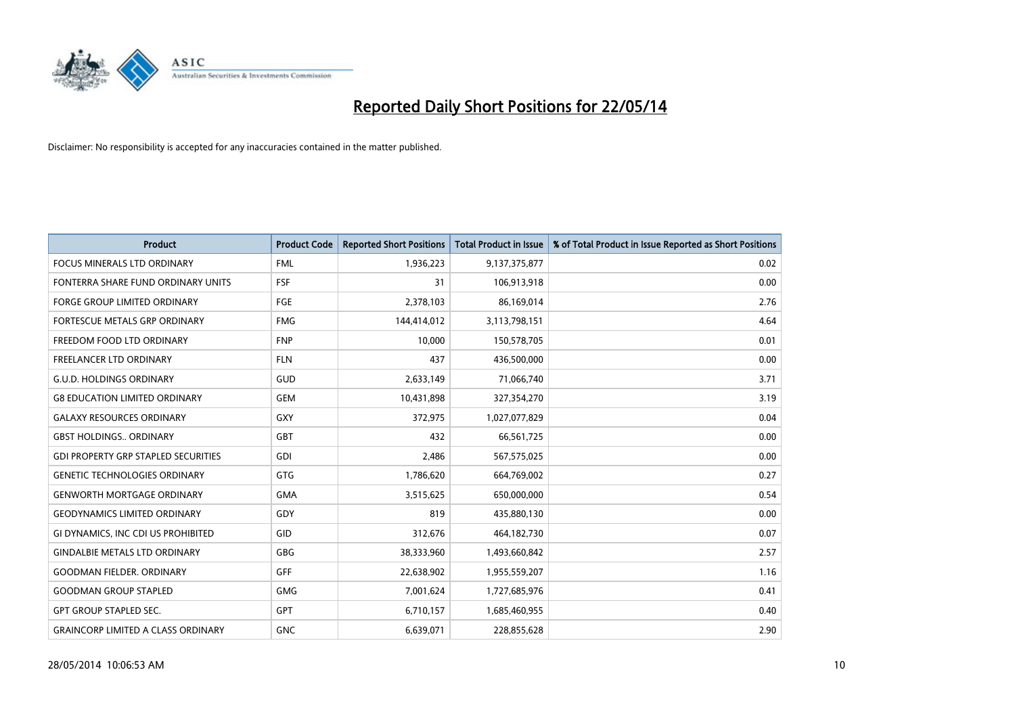

| <b>Product</b>                             | <b>Product Code</b> | <b>Reported Short Positions</b> | <b>Total Product in Issue</b> | % of Total Product in Issue Reported as Short Positions |
|--------------------------------------------|---------------------|---------------------------------|-------------------------------|---------------------------------------------------------|
| <b>FOCUS MINERALS LTD ORDINARY</b>         | <b>FML</b>          | 1,936,223                       | 9,137,375,877                 | 0.02                                                    |
| FONTERRA SHARE FUND ORDINARY UNITS         | <b>FSF</b>          | 31                              | 106,913,918                   | 0.00                                                    |
| <b>FORGE GROUP LIMITED ORDINARY</b>        | FGE                 | 2,378,103                       | 86,169,014                    | 2.76                                                    |
| FORTESCUE METALS GRP ORDINARY              | <b>FMG</b>          | 144,414,012                     | 3,113,798,151                 | 4.64                                                    |
| FREEDOM FOOD LTD ORDINARY                  | <b>FNP</b>          | 10,000                          | 150,578,705                   | 0.01                                                    |
| <b>FREELANCER LTD ORDINARY</b>             | <b>FLN</b>          | 437                             | 436,500,000                   | 0.00                                                    |
| <b>G.U.D. HOLDINGS ORDINARY</b>            | GUD                 | 2,633,149                       | 71,066,740                    | 3.71                                                    |
| <b>G8 EDUCATION LIMITED ORDINARY</b>       | <b>GEM</b>          | 10,431,898                      | 327,354,270                   | 3.19                                                    |
| <b>GALAXY RESOURCES ORDINARY</b>           | GXY                 | 372,975                         | 1,027,077,829                 | 0.04                                                    |
| <b>GBST HOLDINGS., ORDINARY</b>            | <b>GBT</b>          | 432                             | 66,561,725                    | 0.00                                                    |
| <b>GDI PROPERTY GRP STAPLED SECURITIES</b> | GDI                 | 2,486                           | 567,575,025                   | 0.00                                                    |
| <b>GENETIC TECHNOLOGIES ORDINARY</b>       | GTG                 | 1,786,620                       | 664,769,002                   | 0.27                                                    |
| <b>GENWORTH MORTGAGE ORDINARY</b>          | <b>GMA</b>          | 3,515,625                       | 650,000,000                   | 0.54                                                    |
| <b>GEODYNAMICS LIMITED ORDINARY</b>        | GDY                 | 819                             | 435,880,130                   | 0.00                                                    |
| GI DYNAMICS, INC CDI US PROHIBITED         | GID                 | 312,676                         | 464,182,730                   | 0.07                                                    |
| <b>GINDALBIE METALS LTD ORDINARY</b>       | GBG                 | 38,333,960                      | 1,493,660,842                 | 2.57                                                    |
| <b>GOODMAN FIELDER. ORDINARY</b>           | GFF                 | 22,638,902                      | 1,955,559,207                 | 1.16                                                    |
| <b>GOODMAN GROUP STAPLED</b>               | <b>GMG</b>          | 7,001,624                       | 1,727,685,976                 | 0.41                                                    |
| <b>GPT GROUP STAPLED SEC.</b>              | <b>GPT</b>          | 6,710,157                       | 1,685,460,955                 | 0.40                                                    |
| <b>GRAINCORP LIMITED A CLASS ORDINARY</b>  | <b>GNC</b>          | 6,639,071                       | 228,855,628                   | 2.90                                                    |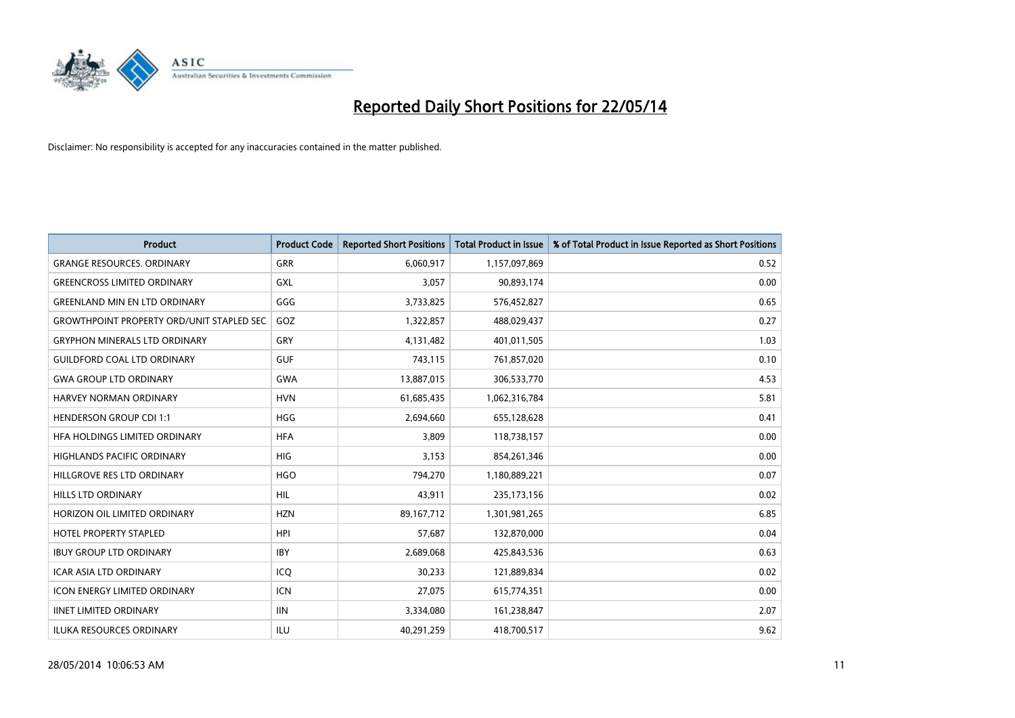

| Product                                          | <b>Product Code</b> | <b>Reported Short Positions</b> | <b>Total Product in Issue</b> | % of Total Product in Issue Reported as Short Positions |
|--------------------------------------------------|---------------------|---------------------------------|-------------------------------|---------------------------------------------------------|
| <b>GRANGE RESOURCES, ORDINARY</b>                | GRR                 | 6,060,917                       | 1,157,097,869                 | 0.52                                                    |
| <b>GREENCROSS LIMITED ORDINARY</b>               | GXL                 | 3,057                           | 90,893,174                    | 0.00                                                    |
| <b>GREENLAND MIN EN LTD ORDINARY</b>             | GGG                 | 3,733,825                       | 576,452,827                   | 0.65                                                    |
| <b>GROWTHPOINT PROPERTY ORD/UNIT STAPLED SEC</b> | GOZ                 | 1,322,857                       | 488,029,437                   | 0.27                                                    |
| <b>GRYPHON MINERALS LTD ORDINARY</b>             | GRY                 | 4,131,482                       | 401,011,505                   | 1.03                                                    |
| <b>GUILDFORD COAL LTD ORDINARY</b>               | <b>GUF</b>          | 743,115                         | 761,857,020                   | 0.10                                                    |
| <b>GWA GROUP LTD ORDINARY</b>                    | <b>GWA</b>          | 13,887,015                      | 306,533,770                   | 4.53                                                    |
| <b>HARVEY NORMAN ORDINARY</b>                    | <b>HVN</b>          | 61,685,435                      | 1,062,316,784                 | 5.81                                                    |
| <b>HENDERSON GROUP CDI 1:1</b>                   | <b>HGG</b>          | 2,694,660                       | 655,128,628                   | 0.41                                                    |
| HFA HOLDINGS LIMITED ORDINARY                    | <b>HFA</b>          | 3,809                           | 118,738,157                   | 0.00                                                    |
| <b>HIGHLANDS PACIFIC ORDINARY</b>                | <b>HIG</b>          | 3,153                           | 854,261,346                   | 0.00                                                    |
| HILLGROVE RES LTD ORDINARY                       | <b>HGO</b>          | 794,270                         | 1,180,889,221                 | 0.07                                                    |
| <b>HILLS LTD ORDINARY</b>                        | <b>HIL</b>          | 43,911                          | 235, 173, 156                 | 0.02                                                    |
| HORIZON OIL LIMITED ORDINARY                     | <b>HZN</b>          | 89,167,712                      | 1,301,981,265                 | 6.85                                                    |
| HOTEL PROPERTY STAPLED                           | <b>HPI</b>          | 57,687                          | 132,870,000                   | 0.04                                                    |
| <b>IBUY GROUP LTD ORDINARY</b>                   | <b>IBY</b>          | 2,689,068                       | 425,843,536                   | 0.63                                                    |
| ICAR ASIA LTD ORDINARY                           | ICQ                 | 30,233                          | 121,889,834                   | 0.02                                                    |
| <b>ICON ENERGY LIMITED ORDINARY</b>              | <b>ICN</b>          | 27,075                          | 615,774,351                   | 0.00                                                    |
| <b>IINET LIMITED ORDINARY</b>                    | <b>IIN</b>          | 3,334,080                       | 161,238,847                   | 2.07                                                    |
| <b>ILUKA RESOURCES ORDINARY</b>                  | ILU                 | 40,291,259                      | 418,700,517                   | 9.62                                                    |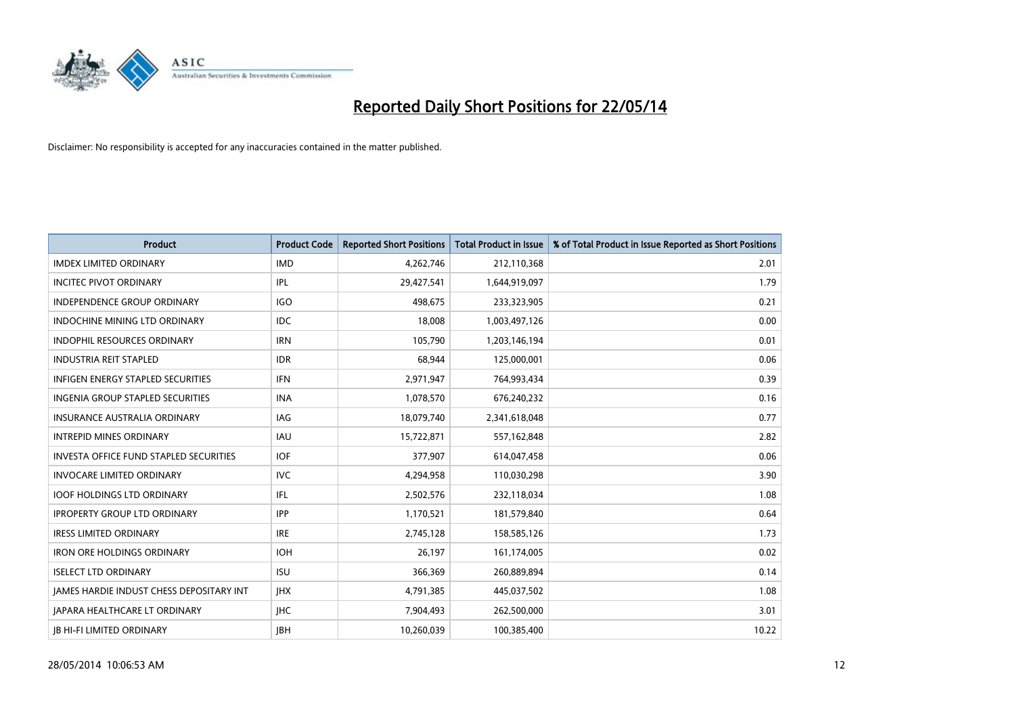

| <b>Product</b>                                | <b>Product Code</b> | <b>Reported Short Positions</b> | <b>Total Product in Issue</b> | % of Total Product in Issue Reported as Short Positions |
|-----------------------------------------------|---------------------|---------------------------------|-------------------------------|---------------------------------------------------------|
| <b>IMDEX LIMITED ORDINARY</b>                 | <b>IMD</b>          | 4,262,746                       | 212,110,368                   | 2.01                                                    |
| <b>INCITEC PIVOT ORDINARY</b>                 | IPL                 | 29,427,541                      | 1,644,919,097                 | 1.79                                                    |
| <b>INDEPENDENCE GROUP ORDINARY</b>            | <b>IGO</b>          | 498,675                         | 233,323,905                   | 0.21                                                    |
| INDOCHINE MINING LTD ORDINARY                 | <b>IDC</b>          | 18,008                          | 1,003,497,126                 | 0.00                                                    |
| <b>INDOPHIL RESOURCES ORDINARY</b>            | <b>IRN</b>          | 105,790                         | 1,203,146,194                 | 0.01                                                    |
| <b>INDUSTRIA REIT STAPLED</b>                 | <b>IDR</b>          | 68,944                          | 125,000,001                   | 0.06                                                    |
| <b>INFIGEN ENERGY STAPLED SECURITIES</b>      | <b>IFN</b>          | 2,971,947                       | 764,993,434                   | 0.39                                                    |
| <b>INGENIA GROUP STAPLED SECURITIES</b>       | <b>INA</b>          | 1,078,570                       | 676,240,232                   | 0.16                                                    |
| <b>INSURANCE AUSTRALIA ORDINARY</b>           | IAG                 | 18,079,740                      | 2,341,618,048                 | 0.77                                                    |
| <b>INTREPID MINES ORDINARY</b>                | <b>IAU</b>          | 15,722,871                      | 557,162,848                   | 2.82                                                    |
| <b>INVESTA OFFICE FUND STAPLED SECURITIES</b> | <b>IOF</b>          | 377,907                         | 614,047,458                   | 0.06                                                    |
| <b>INVOCARE LIMITED ORDINARY</b>              | <b>IVC</b>          | 4,294,958                       | 110,030,298                   | 3.90                                                    |
| <b>IOOF HOLDINGS LTD ORDINARY</b>             | IFL                 | 2,502,576                       | 232,118,034                   | 1.08                                                    |
| <b>IPROPERTY GROUP LTD ORDINARY</b>           | <b>IPP</b>          | 1,170,521                       | 181,579,840                   | 0.64                                                    |
| <b>IRESS LIMITED ORDINARY</b>                 | <b>IRE</b>          | 2,745,128                       | 158,585,126                   | 1.73                                                    |
| <b>IRON ORE HOLDINGS ORDINARY</b>             | <b>IOH</b>          | 26,197                          | 161,174,005                   | 0.02                                                    |
| <b>ISELECT LTD ORDINARY</b>                   | <b>ISU</b>          | 366,369                         | 260,889,894                   | 0.14                                                    |
| JAMES HARDIE INDUST CHESS DEPOSITARY INT      | <b>IHX</b>          | 4,791,385                       | 445,037,502                   | 1.08                                                    |
| <b>IAPARA HEALTHCARE LT ORDINARY</b>          | <b>IHC</b>          | 7,904,493                       | 262,500,000                   | 3.01                                                    |
| <b>IB HI-FI LIMITED ORDINARY</b>              | <b>JBH</b>          | 10.260.039                      | 100,385,400                   | 10.22                                                   |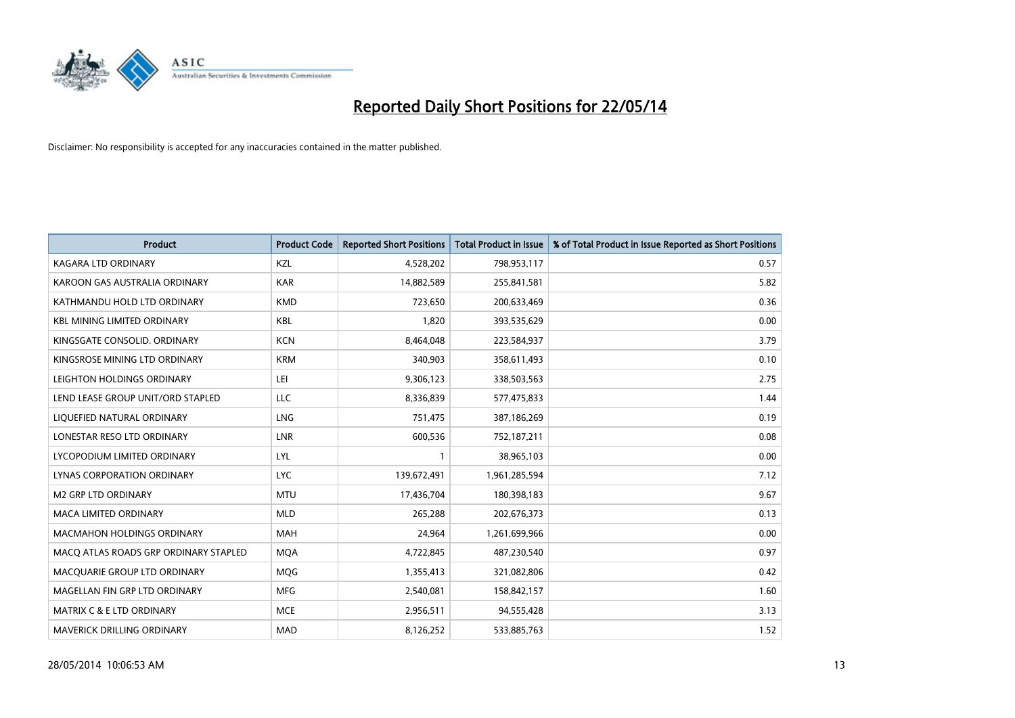

| <b>Product</b>                        | <b>Product Code</b> | <b>Reported Short Positions</b> | <b>Total Product in Issue</b> | % of Total Product in Issue Reported as Short Positions |
|---------------------------------------|---------------------|---------------------------------|-------------------------------|---------------------------------------------------------|
| <b>KAGARA LTD ORDINARY</b>            | KZL                 | 4,528,202                       | 798,953,117                   | 0.57                                                    |
| KAROON GAS AUSTRALIA ORDINARY         | <b>KAR</b>          | 14,882,589                      | 255,841,581                   | 5.82                                                    |
| KATHMANDU HOLD LTD ORDINARY           | <b>KMD</b>          | 723,650                         | 200,633,469                   | 0.36                                                    |
| <b>KBL MINING LIMITED ORDINARY</b>    | <b>KBL</b>          | 1,820                           | 393,535,629                   | 0.00                                                    |
| KINGSGATE CONSOLID. ORDINARY          | <b>KCN</b>          | 8,464,048                       | 223,584,937                   | 3.79                                                    |
| KINGSROSE MINING LTD ORDINARY         | <b>KRM</b>          | 340,903                         | 358,611,493                   | 0.10                                                    |
| LEIGHTON HOLDINGS ORDINARY            | LEI                 | 9,306,123                       | 338,503,563                   | 2.75                                                    |
| LEND LEASE GROUP UNIT/ORD STAPLED     | LLC                 | 8,336,839                       | 577,475,833                   | 1.44                                                    |
| LIQUEFIED NATURAL ORDINARY            | <b>LNG</b>          | 751,475                         | 387,186,269                   | 0.19                                                    |
| LONESTAR RESO LTD ORDINARY            | <b>LNR</b>          | 600,536                         | 752,187,211                   | 0.08                                                    |
| LYCOPODIUM LIMITED ORDINARY           | <b>LYL</b>          | 1                               | 38,965,103                    | 0.00                                                    |
| LYNAS CORPORATION ORDINARY            | <b>LYC</b>          | 139,672,491                     | 1,961,285,594                 | 7.12                                                    |
| <b>M2 GRP LTD ORDINARY</b>            | <b>MTU</b>          | 17,436,704                      | 180,398,183                   | 9.67                                                    |
| <b>MACA LIMITED ORDINARY</b>          | <b>MLD</b>          | 265,288                         | 202,676,373                   | 0.13                                                    |
| MACMAHON HOLDINGS ORDINARY            | <b>MAH</b>          | 24,964                          | 1,261,699,966                 | 0.00                                                    |
| MACO ATLAS ROADS GRP ORDINARY STAPLED | <b>MOA</b>          | 4,722,845                       | 487,230,540                   | 0.97                                                    |
| MACQUARIE GROUP LTD ORDINARY          | MQG                 | 1,355,413                       | 321,082,806                   | 0.42                                                    |
| MAGELLAN FIN GRP LTD ORDINARY         | <b>MFG</b>          | 2,540,081                       | 158,842,157                   | 1.60                                                    |
| MATRIX C & E LTD ORDINARY             | <b>MCE</b>          | 2,956,511                       | 94,555,428                    | 3.13                                                    |
| <b>MAVERICK DRILLING ORDINARY</b>     | <b>MAD</b>          | 8,126,252                       | 533,885,763                   | 1.52                                                    |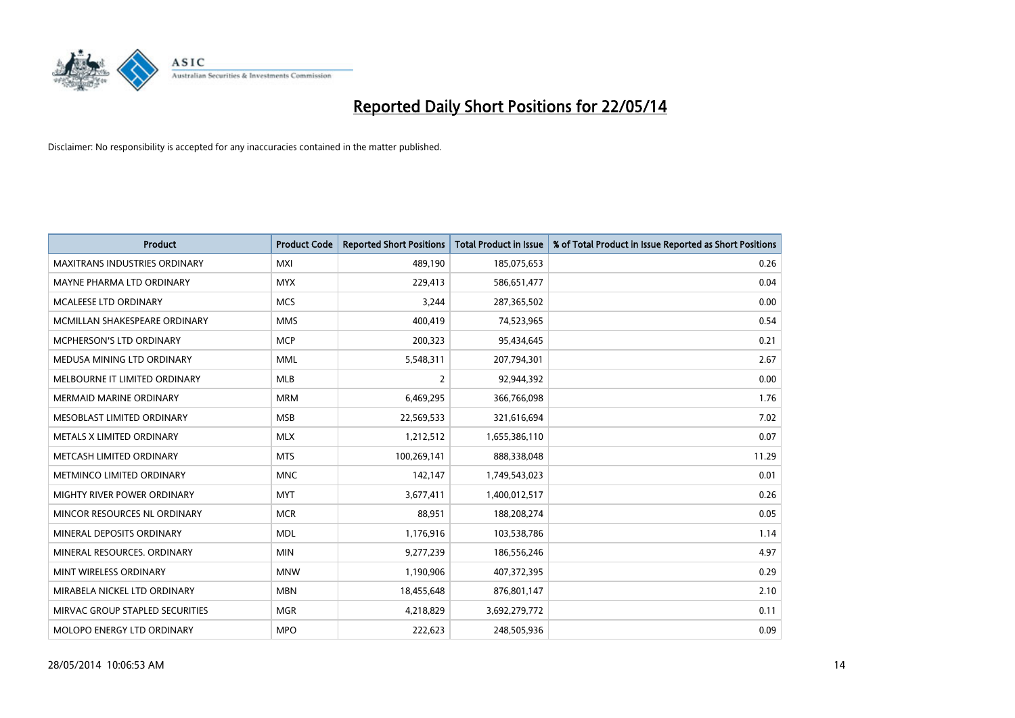

| <b>Product</b>                       | <b>Product Code</b> | <b>Reported Short Positions</b> | <b>Total Product in Issue</b> | % of Total Product in Issue Reported as Short Positions |
|--------------------------------------|---------------------|---------------------------------|-------------------------------|---------------------------------------------------------|
| <b>MAXITRANS INDUSTRIES ORDINARY</b> | <b>MXI</b>          | 489,190                         | 185,075,653                   | 0.26                                                    |
| MAYNE PHARMA LTD ORDINARY            | <b>MYX</b>          | 229,413                         | 586,651,477                   | 0.04                                                    |
| <b>MCALEESE LTD ORDINARY</b>         | <b>MCS</b>          | 3,244                           | 287,365,502                   | 0.00                                                    |
| MCMILLAN SHAKESPEARE ORDINARY        | <b>MMS</b>          | 400,419                         | 74,523,965                    | 0.54                                                    |
| <b>MCPHERSON'S LTD ORDINARY</b>      | <b>MCP</b>          | 200,323                         | 95,434,645                    | 0.21                                                    |
| MEDUSA MINING LTD ORDINARY           | <b>MML</b>          | 5,548,311                       | 207,794,301                   | 2.67                                                    |
| MELBOURNE IT LIMITED ORDINARY        | <b>MLB</b>          | $\overline{2}$                  | 92,944,392                    | 0.00                                                    |
| <b>MERMAID MARINE ORDINARY</b>       | <b>MRM</b>          | 6,469,295                       | 366,766,098                   | 1.76                                                    |
| MESOBLAST LIMITED ORDINARY           | <b>MSB</b>          | 22,569,533                      | 321,616,694                   | 7.02                                                    |
| METALS X LIMITED ORDINARY            | <b>MLX</b>          | 1,212,512                       | 1,655,386,110                 | 0.07                                                    |
| METCASH LIMITED ORDINARY             | <b>MTS</b>          | 100,269,141                     | 888,338,048                   | 11.29                                                   |
| METMINCO LIMITED ORDINARY            | <b>MNC</b>          | 142,147                         | 1,749,543,023                 | 0.01                                                    |
| MIGHTY RIVER POWER ORDINARY          | <b>MYT</b>          | 3,677,411                       | 1,400,012,517                 | 0.26                                                    |
| MINCOR RESOURCES NL ORDINARY         | <b>MCR</b>          | 88,951                          | 188,208,274                   | 0.05                                                    |
| MINERAL DEPOSITS ORDINARY            | <b>MDL</b>          | 1,176,916                       | 103,538,786                   | 1.14                                                    |
| MINERAL RESOURCES. ORDINARY          | <b>MIN</b>          | 9,277,239                       | 186,556,246                   | 4.97                                                    |
| MINT WIRELESS ORDINARY               | <b>MNW</b>          | 1,190,906                       | 407,372,395                   | 0.29                                                    |
| MIRABELA NICKEL LTD ORDINARY         | <b>MBN</b>          | 18,455,648                      | 876,801,147                   | 2.10                                                    |
| MIRVAC GROUP STAPLED SECURITIES      | <b>MGR</b>          | 4,218,829                       | 3,692,279,772                 | 0.11                                                    |
| MOLOPO ENERGY LTD ORDINARY           | <b>MPO</b>          | 222,623                         | 248,505,936                   | 0.09                                                    |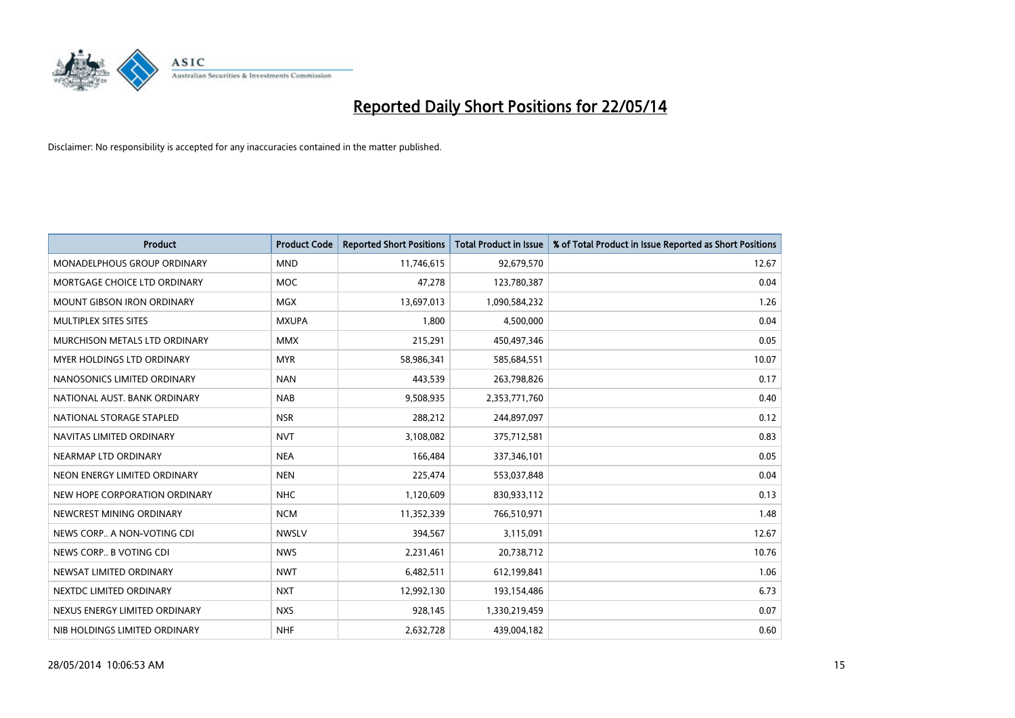

| <b>Product</b>                     | <b>Product Code</b> | <b>Reported Short Positions</b> | <b>Total Product in Issue</b> | % of Total Product in Issue Reported as Short Positions |
|------------------------------------|---------------------|---------------------------------|-------------------------------|---------------------------------------------------------|
| <b>MONADELPHOUS GROUP ORDINARY</b> | <b>MND</b>          | 11,746,615                      | 92,679,570                    | 12.67                                                   |
| MORTGAGE CHOICE LTD ORDINARY       | MOC                 | 47,278                          | 123,780,387                   | 0.04                                                    |
| <b>MOUNT GIBSON IRON ORDINARY</b>  | <b>MGX</b>          | 13,697,013                      | 1,090,584,232                 | 1.26                                                    |
| MULTIPLEX SITES SITES              | <b>MXUPA</b>        | 1,800                           | 4,500,000                     | 0.04                                                    |
| MURCHISON METALS LTD ORDINARY      | <b>MMX</b>          | 215,291                         | 450,497,346                   | 0.05                                                    |
| MYER HOLDINGS LTD ORDINARY         | <b>MYR</b>          | 58,986,341                      | 585,684,551                   | 10.07                                                   |
| NANOSONICS LIMITED ORDINARY        | <b>NAN</b>          | 443,539                         | 263,798,826                   | 0.17                                                    |
| NATIONAL AUST, BANK ORDINARY       | <b>NAB</b>          | 9,508,935                       | 2,353,771,760                 | 0.40                                                    |
| NATIONAL STORAGE STAPLED           | <b>NSR</b>          | 288,212                         | 244,897,097                   | 0.12                                                    |
| NAVITAS LIMITED ORDINARY           | <b>NVT</b>          | 3,108,082                       | 375,712,581                   | 0.83                                                    |
| NEARMAP LTD ORDINARY               | <b>NEA</b>          | 166,484                         | 337,346,101                   | 0.05                                                    |
| NEON ENERGY LIMITED ORDINARY       | <b>NEN</b>          | 225,474                         | 553,037,848                   | 0.04                                                    |
| NEW HOPE CORPORATION ORDINARY      | <b>NHC</b>          | 1,120,609                       | 830,933,112                   | 0.13                                                    |
| NEWCREST MINING ORDINARY           | <b>NCM</b>          | 11,352,339                      | 766,510,971                   | 1.48                                                    |
| NEWS CORP A NON-VOTING CDI         | <b>NWSLV</b>        | 394,567                         | 3,115,091                     | 12.67                                                   |
| NEWS CORP B VOTING CDI             | <b>NWS</b>          | 2,231,461                       | 20,738,712                    | 10.76                                                   |
| NEWSAT LIMITED ORDINARY            | <b>NWT</b>          | 6,482,511                       | 612,199,841                   | 1.06                                                    |
| NEXTDC LIMITED ORDINARY            | <b>NXT</b>          | 12,992,130                      | 193,154,486                   | 6.73                                                    |
| NEXUS ENERGY LIMITED ORDINARY      | <b>NXS</b>          | 928,145                         | 1,330,219,459                 | 0.07                                                    |
| NIB HOLDINGS LIMITED ORDINARY      | <b>NHF</b>          | 2,632,728                       | 439,004,182                   | 0.60                                                    |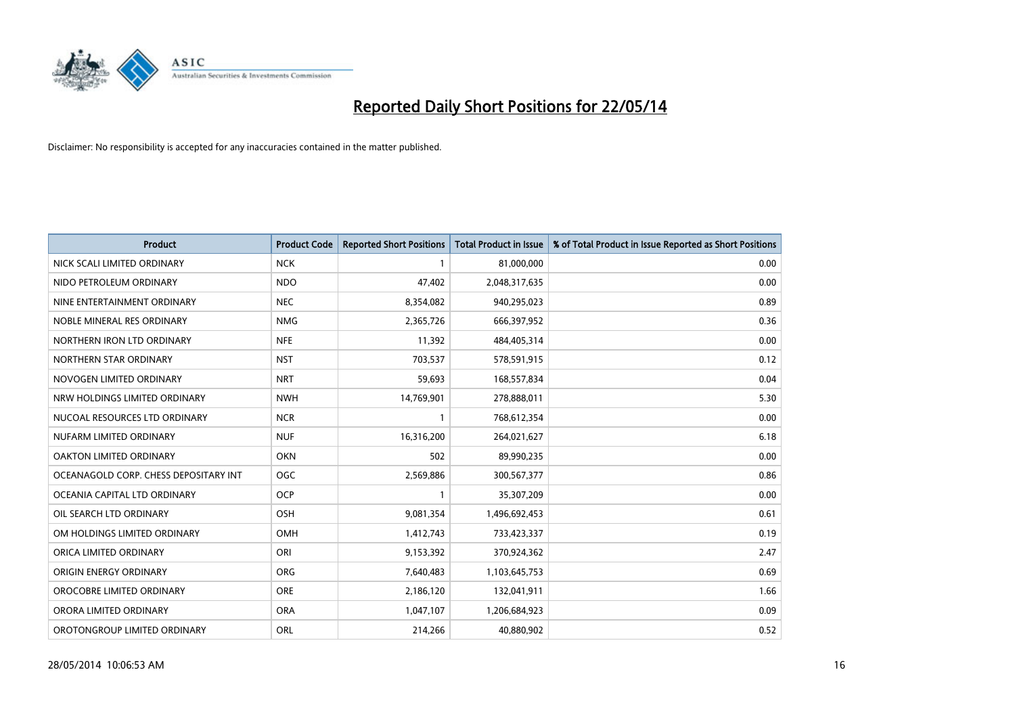

| <b>Product</b>                        | <b>Product Code</b> | <b>Reported Short Positions</b> | <b>Total Product in Issue</b> | % of Total Product in Issue Reported as Short Positions |
|---------------------------------------|---------------------|---------------------------------|-------------------------------|---------------------------------------------------------|
| NICK SCALI LIMITED ORDINARY           | <b>NCK</b>          | $\mathbf{1}$                    | 81,000,000                    | 0.00                                                    |
| NIDO PETROLEUM ORDINARY               | <b>NDO</b>          | 47,402                          | 2,048,317,635                 | 0.00                                                    |
| NINE ENTERTAINMENT ORDINARY           | <b>NEC</b>          | 8,354,082                       | 940,295,023                   | 0.89                                                    |
| NOBLE MINERAL RES ORDINARY            | <b>NMG</b>          | 2,365,726                       | 666,397,952                   | 0.36                                                    |
| NORTHERN IRON LTD ORDINARY            | <b>NFE</b>          | 11,392                          | 484,405,314                   | 0.00                                                    |
| NORTHERN STAR ORDINARY                | <b>NST</b>          | 703,537                         | 578,591,915                   | 0.12                                                    |
| NOVOGEN LIMITED ORDINARY              | <b>NRT</b>          | 59,693                          | 168,557,834                   | 0.04                                                    |
| NRW HOLDINGS LIMITED ORDINARY         | <b>NWH</b>          | 14,769,901                      | 278,888,011                   | 5.30                                                    |
| NUCOAL RESOURCES LTD ORDINARY         | <b>NCR</b>          | 1                               | 768,612,354                   | 0.00                                                    |
| NUFARM LIMITED ORDINARY               | <b>NUF</b>          | 16,316,200                      | 264,021,627                   | 6.18                                                    |
| OAKTON LIMITED ORDINARY               | <b>OKN</b>          | 502                             | 89,990,235                    | 0.00                                                    |
| OCEANAGOLD CORP. CHESS DEPOSITARY INT | <b>OGC</b>          | 2,569,886                       | 300,567,377                   | 0.86                                                    |
| OCEANIA CAPITAL LTD ORDINARY          | <b>OCP</b>          | $\mathbf{1}$                    | 35,307,209                    | 0.00                                                    |
| OIL SEARCH LTD ORDINARY               | OSH                 | 9,081,354                       | 1,496,692,453                 | 0.61                                                    |
| OM HOLDINGS LIMITED ORDINARY          | <b>OMH</b>          | 1,412,743                       | 733,423,337                   | 0.19                                                    |
| ORICA LIMITED ORDINARY                | ORI                 | 9,153,392                       | 370,924,362                   | 2.47                                                    |
| ORIGIN ENERGY ORDINARY                | <b>ORG</b>          | 7,640,483                       | 1,103,645,753                 | 0.69                                                    |
| OROCOBRE LIMITED ORDINARY             | <b>ORE</b>          | 2,186,120                       | 132,041,911                   | 1.66                                                    |
| ORORA LIMITED ORDINARY                | <b>ORA</b>          | 1,047,107                       | 1,206,684,923                 | 0.09                                                    |
| OROTONGROUP LIMITED ORDINARY          | <b>ORL</b>          | 214,266                         | 40,880,902                    | 0.52                                                    |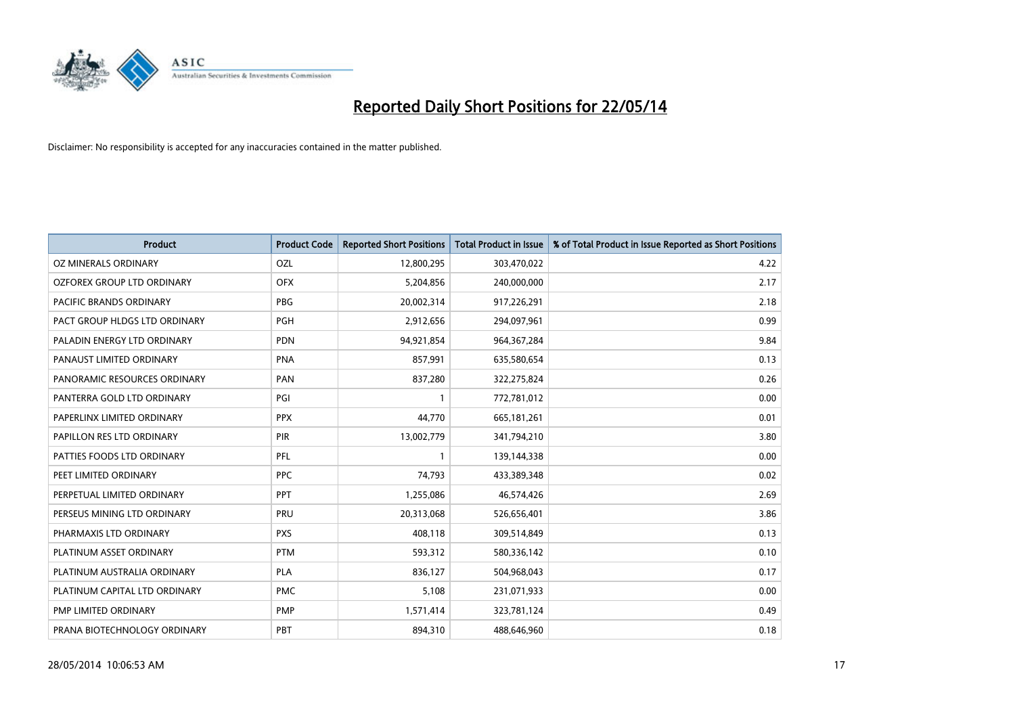

| <b>Product</b>                | <b>Product Code</b> | <b>Reported Short Positions</b> | <b>Total Product in Issue</b> | % of Total Product in Issue Reported as Short Positions |
|-------------------------------|---------------------|---------------------------------|-------------------------------|---------------------------------------------------------|
| <b>OZ MINERALS ORDINARY</b>   | OZL                 | 12,800,295                      | 303,470,022                   | 4.22                                                    |
| OZFOREX GROUP LTD ORDINARY    | <b>OFX</b>          | 5,204,856                       | 240,000,000                   | 2.17                                                    |
| PACIFIC BRANDS ORDINARY       | <b>PBG</b>          | 20,002,314                      | 917,226,291                   | 2.18                                                    |
| PACT GROUP HLDGS LTD ORDINARY | <b>PGH</b>          | 2,912,656                       | 294,097,961                   | 0.99                                                    |
| PALADIN ENERGY LTD ORDINARY   | <b>PDN</b>          | 94,921,854                      | 964, 367, 284                 | 9.84                                                    |
| PANAUST LIMITED ORDINARY      | <b>PNA</b>          | 857,991                         | 635,580,654                   | 0.13                                                    |
| PANORAMIC RESOURCES ORDINARY  | PAN                 | 837,280                         | 322,275,824                   | 0.26                                                    |
| PANTERRA GOLD LTD ORDINARY    | PGI                 | 1                               | 772,781,012                   | 0.00                                                    |
| PAPERLINX LIMITED ORDINARY    | <b>PPX</b>          | 44,770                          | 665, 181, 261                 | 0.01                                                    |
| PAPILLON RES LTD ORDINARY     | PIR                 | 13,002,779                      | 341,794,210                   | 3.80                                                    |
| PATTIES FOODS LTD ORDINARY    | <b>PFL</b>          | 1                               | 139,144,338                   | 0.00                                                    |
| PEET LIMITED ORDINARY         | <b>PPC</b>          | 74,793                          | 433,389,348                   | 0.02                                                    |
| PERPETUAL LIMITED ORDINARY    | <b>PPT</b>          | 1,255,086                       | 46,574,426                    | 2.69                                                    |
| PERSEUS MINING LTD ORDINARY   | PRU                 | 20,313,068                      | 526,656,401                   | 3.86                                                    |
| PHARMAXIS LTD ORDINARY        | <b>PXS</b>          | 408,118                         | 309,514,849                   | 0.13                                                    |
| PLATINUM ASSET ORDINARY       | <b>PTM</b>          | 593,312                         | 580,336,142                   | 0.10                                                    |
| PLATINUM AUSTRALIA ORDINARY   | PLA                 | 836,127                         | 504,968,043                   | 0.17                                                    |
| PLATINUM CAPITAL LTD ORDINARY | <b>PMC</b>          | 5,108                           | 231,071,933                   | 0.00                                                    |
| <b>PMP LIMITED ORDINARY</b>   | <b>PMP</b>          | 1,571,414                       | 323,781,124                   | 0.49                                                    |
| PRANA BIOTECHNOLOGY ORDINARY  | PBT                 | 894,310                         | 488,646,960                   | 0.18                                                    |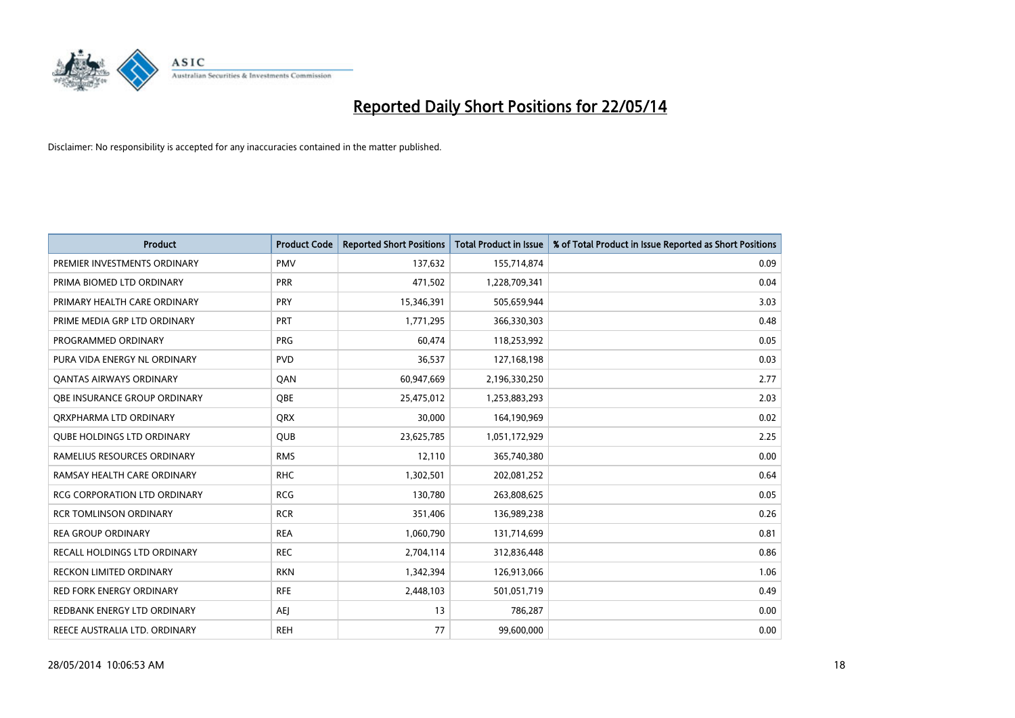

| <b>Product</b>                      | <b>Product Code</b> | <b>Reported Short Positions</b> | <b>Total Product in Issue</b> | % of Total Product in Issue Reported as Short Positions |
|-------------------------------------|---------------------|---------------------------------|-------------------------------|---------------------------------------------------------|
| PREMIER INVESTMENTS ORDINARY        | <b>PMV</b>          | 137,632                         | 155,714,874                   | 0.09                                                    |
| PRIMA BIOMED LTD ORDINARY           | <b>PRR</b>          | 471,502                         | 1,228,709,341                 | 0.04                                                    |
| PRIMARY HEALTH CARE ORDINARY        | <b>PRY</b>          | 15,346,391                      | 505,659,944                   | 3.03                                                    |
| PRIME MEDIA GRP LTD ORDINARY        | <b>PRT</b>          | 1,771,295                       | 366,330,303                   | 0.48                                                    |
| PROGRAMMED ORDINARY                 | <b>PRG</b>          | 60,474                          | 118,253,992                   | 0.05                                                    |
| PURA VIDA ENERGY NL ORDINARY        | <b>PVD</b>          | 36,537                          | 127,168,198                   | 0.03                                                    |
| <b>QANTAS AIRWAYS ORDINARY</b>      | QAN                 | 60,947,669                      | 2,196,330,250                 | 2.77                                                    |
| OBE INSURANCE GROUP ORDINARY        | <b>OBE</b>          | 25,475,012                      | 1,253,883,293                 | 2.03                                                    |
| ORXPHARMA LTD ORDINARY              | <b>QRX</b>          | 30,000                          | 164,190,969                   | 0.02                                                    |
| <b>OUBE HOLDINGS LTD ORDINARY</b>   | <b>QUB</b>          | 23,625,785                      | 1,051,172,929                 | 2.25                                                    |
| RAMELIUS RESOURCES ORDINARY         | <b>RMS</b>          | 12,110                          | 365,740,380                   | 0.00                                                    |
| RAMSAY HEALTH CARE ORDINARY         | <b>RHC</b>          | 1,302,501                       | 202,081,252                   | 0.64                                                    |
| <b>RCG CORPORATION LTD ORDINARY</b> | <b>RCG</b>          | 130,780                         | 263,808,625                   | 0.05                                                    |
| <b>RCR TOMLINSON ORDINARY</b>       | <b>RCR</b>          | 351,406                         | 136,989,238                   | 0.26                                                    |
| <b>REA GROUP ORDINARY</b>           | <b>REA</b>          | 1,060,790                       | 131,714,699                   | 0.81                                                    |
| <b>RECALL HOLDINGS LTD ORDINARY</b> | <b>REC</b>          | 2,704,114                       | 312,836,448                   | 0.86                                                    |
| RECKON LIMITED ORDINARY             | <b>RKN</b>          | 1,342,394                       | 126,913,066                   | 1.06                                                    |
| <b>RED FORK ENERGY ORDINARY</b>     | <b>RFE</b>          | 2,448,103                       | 501,051,719                   | 0.49                                                    |
| REDBANK ENERGY LTD ORDINARY         | <b>AEI</b>          | 13                              | 786,287                       | 0.00                                                    |
| REECE AUSTRALIA LTD. ORDINARY       | <b>REH</b>          | 77                              | 99,600,000                    | 0.00                                                    |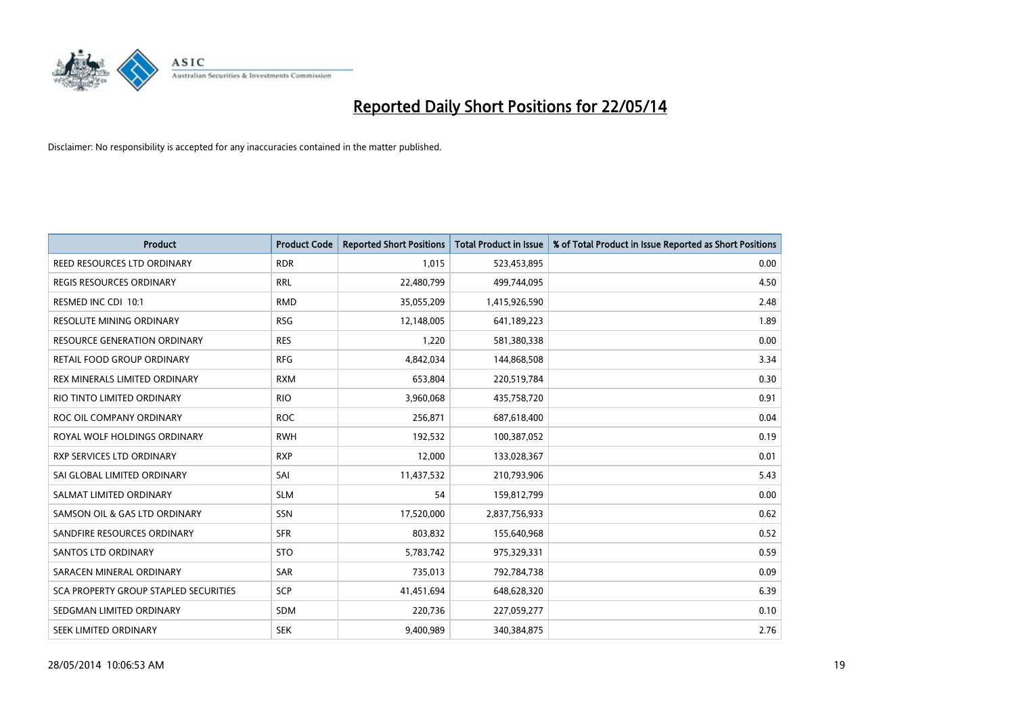

| <b>Product</b>                               | <b>Product Code</b> | <b>Reported Short Positions</b> | <b>Total Product in Issue</b> | % of Total Product in Issue Reported as Short Positions |
|----------------------------------------------|---------------------|---------------------------------|-------------------------------|---------------------------------------------------------|
| REED RESOURCES LTD ORDINARY                  | <b>RDR</b>          | 1,015                           | 523,453,895                   | 0.00                                                    |
| <b>REGIS RESOURCES ORDINARY</b>              | <b>RRL</b>          | 22,480,799                      | 499,744,095                   | 4.50                                                    |
| RESMED INC CDI 10:1                          | <b>RMD</b>          | 35,055,209                      | 1,415,926,590                 | 2.48                                                    |
| RESOLUTE MINING ORDINARY                     | <b>RSG</b>          | 12,148,005                      | 641,189,223                   | 1.89                                                    |
| <b>RESOURCE GENERATION ORDINARY</b>          | <b>RES</b>          | 1,220                           | 581,380,338                   | 0.00                                                    |
| RETAIL FOOD GROUP ORDINARY                   | <b>RFG</b>          | 4,842,034                       | 144,868,508                   | 3.34                                                    |
| REX MINERALS LIMITED ORDINARY                | <b>RXM</b>          | 653,804                         | 220,519,784                   | 0.30                                                    |
| RIO TINTO LIMITED ORDINARY                   | <b>RIO</b>          | 3,960,068                       | 435,758,720                   | 0.91                                                    |
| ROC OIL COMPANY ORDINARY                     | <b>ROC</b>          | 256,871                         | 687,618,400                   | 0.04                                                    |
| ROYAL WOLF HOLDINGS ORDINARY                 | <b>RWH</b>          | 192,532                         | 100,387,052                   | 0.19                                                    |
| RXP SERVICES LTD ORDINARY                    | <b>RXP</b>          | 12,000                          | 133,028,367                   | 0.01                                                    |
| SAI GLOBAL LIMITED ORDINARY                  | SAI                 | 11,437,532                      | 210,793,906                   | 5.43                                                    |
| SALMAT LIMITED ORDINARY                      | <b>SLM</b>          | 54                              | 159,812,799                   | 0.00                                                    |
| SAMSON OIL & GAS LTD ORDINARY                | <b>SSN</b>          | 17,520,000                      | 2,837,756,933                 | 0.62                                                    |
| SANDFIRE RESOURCES ORDINARY                  | <b>SFR</b>          | 803,832                         | 155,640,968                   | 0.52                                                    |
| SANTOS LTD ORDINARY                          | <b>STO</b>          | 5,783,742                       | 975,329,331                   | 0.59                                                    |
| SARACEN MINERAL ORDINARY                     | <b>SAR</b>          | 735,013                         | 792,784,738                   | 0.09                                                    |
| <b>SCA PROPERTY GROUP STAPLED SECURITIES</b> | <b>SCP</b>          | 41,451,694                      | 648,628,320                   | 6.39                                                    |
| SEDGMAN LIMITED ORDINARY                     | <b>SDM</b>          | 220,736                         | 227,059,277                   | 0.10                                                    |
| SEEK LIMITED ORDINARY                        | <b>SEK</b>          | 9,400,989                       | 340,384,875                   | 2.76                                                    |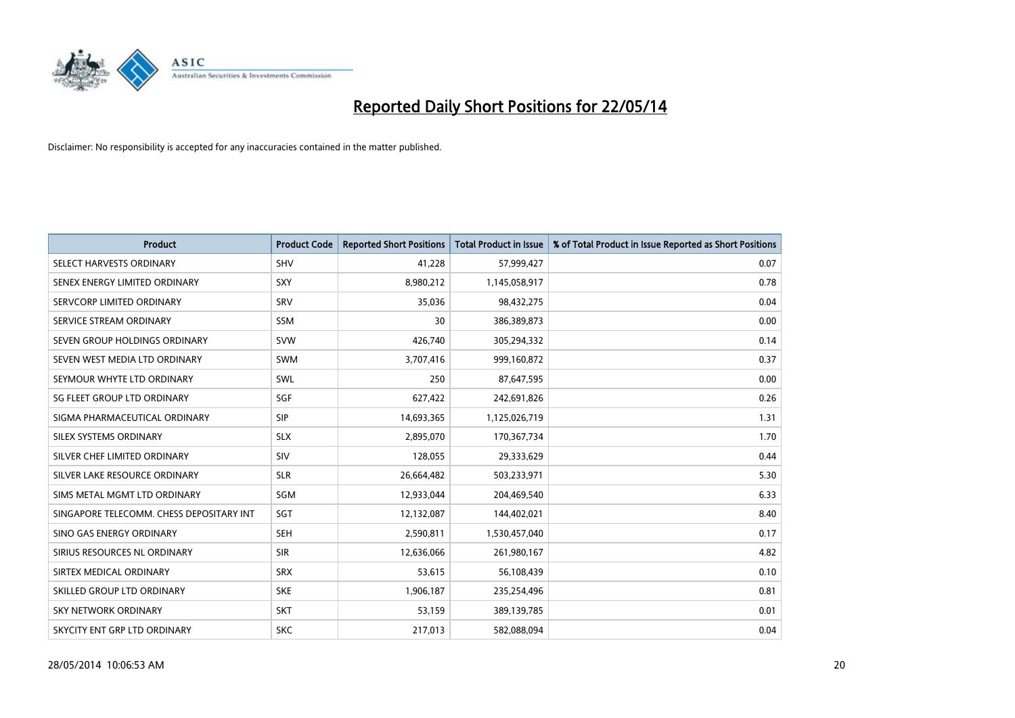

| <b>Product</b>                           | <b>Product Code</b> | <b>Reported Short Positions</b> | <b>Total Product in Issue</b> | % of Total Product in Issue Reported as Short Positions |
|------------------------------------------|---------------------|---------------------------------|-------------------------------|---------------------------------------------------------|
| SELECT HARVESTS ORDINARY                 | SHV                 | 41,228                          | 57,999,427                    | 0.07                                                    |
| SENEX ENERGY LIMITED ORDINARY            | <b>SXY</b>          | 8,980,212                       | 1,145,058,917                 | 0.78                                                    |
| SERVCORP LIMITED ORDINARY                | SRV                 | 35,036                          | 98,432,275                    | 0.04                                                    |
| SERVICE STREAM ORDINARY                  | <b>SSM</b>          | 30                              | 386,389,873                   | 0.00                                                    |
| SEVEN GROUP HOLDINGS ORDINARY            | <b>SVW</b>          | 426,740                         | 305,294,332                   | 0.14                                                    |
| SEVEN WEST MEDIA LTD ORDINARY            | <b>SWM</b>          | 3,707,416                       | 999,160,872                   | 0.37                                                    |
| SEYMOUR WHYTE LTD ORDINARY               | SWL                 | 250                             | 87,647,595                    | 0.00                                                    |
| SG FLEET GROUP LTD ORDINARY              | SGF                 | 627,422                         | 242,691,826                   | 0.26                                                    |
| SIGMA PHARMACEUTICAL ORDINARY            | <b>SIP</b>          | 14,693,365                      | 1,125,026,719                 | 1.31                                                    |
| SILEX SYSTEMS ORDINARY                   | <b>SLX</b>          | 2,895,070                       | 170,367,734                   | 1.70                                                    |
| SILVER CHEF LIMITED ORDINARY             | SIV                 | 128,055                         | 29,333,629                    | 0.44                                                    |
| SILVER LAKE RESOURCE ORDINARY            | <b>SLR</b>          | 26,664,482                      | 503,233,971                   | 5.30                                                    |
| SIMS METAL MGMT LTD ORDINARY             | SGM                 | 12,933,044                      | 204,469,540                   | 6.33                                                    |
| SINGAPORE TELECOMM. CHESS DEPOSITARY INT | SGT                 | 12,132,087                      | 144,402,021                   | 8.40                                                    |
| SINO GAS ENERGY ORDINARY                 | <b>SEH</b>          | 2,590,811                       | 1,530,457,040                 | 0.17                                                    |
| SIRIUS RESOURCES NL ORDINARY             | <b>SIR</b>          | 12,636,066                      | 261,980,167                   | 4.82                                                    |
| SIRTEX MEDICAL ORDINARY                  | <b>SRX</b>          | 53,615                          | 56,108,439                    | 0.10                                                    |
| SKILLED GROUP LTD ORDINARY               | <b>SKE</b>          | 1,906,187                       | 235,254,496                   | 0.81                                                    |
| <b>SKY NETWORK ORDINARY</b>              | <b>SKT</b>          | 53,159                          | 389,139,785                   | 0.01                                                    |
| SKYCITY ENT GRP LTD ORDINARY             | <b>SKC</b>          | 217,013                         | 582,088,094                   | 0.04                                                    |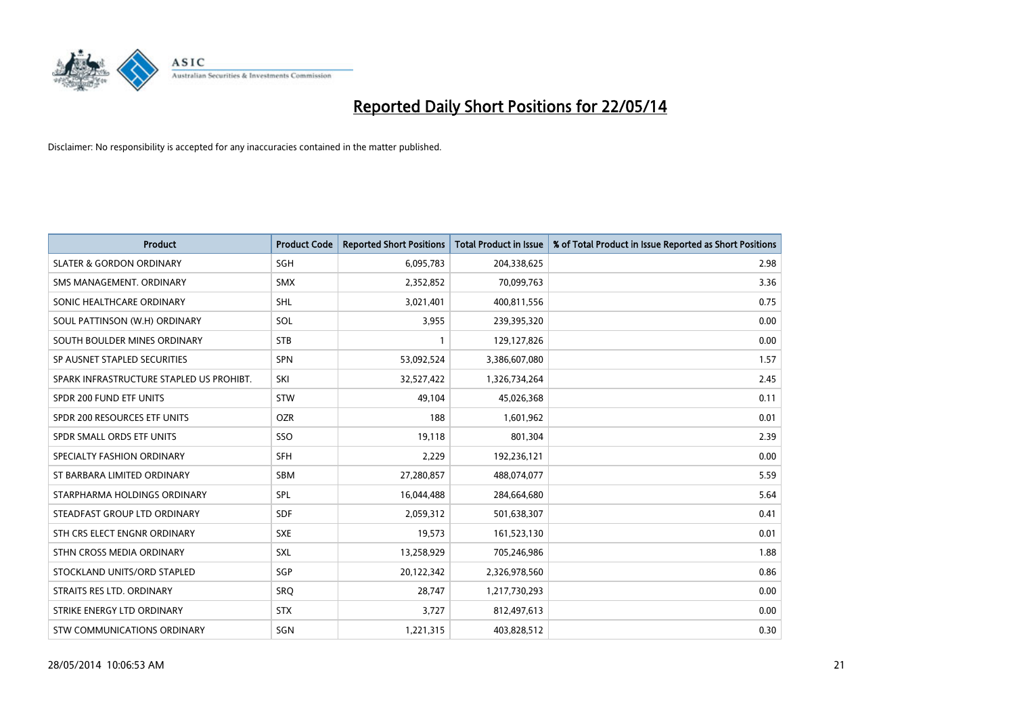

| <b>Product</b>                           | <b>Product Code</b> | <b>Reported Short Positions</b> | <b>Total Product in Issue</b> | % of Total Product in Issue Reported as Short Positions |
|------------------------------------------|---------------------|---------------------------------|-------------------------------|---------------------------------------------------------|
| <b>SLATER &amp; GORDON ORDINARY</b>      | SGH                 | 6,095,783                       | 204,338,625                   | 2.98                                                    |
| SMS MANAGEMENT. ORDINARY                 | <b>SMX</b>          | 2,352,852                       | 70,099,763                    | 3.36                                                    |
| SONIC HEALTHCARE ORDINARY                | <b>SHL</b>          | 3,021,401                       | 400,811,556                   | 0.75                                                    |
| SOUL PATTINSON (W.H) ORDINARY            | <b>SOL</b>          | 3,955                           | 239,395,320                   | 0.00                                                    |
| SOUTH BOULDER MINES ORDINARY             | <b>STB</b>          | 1                               | 129,127,826                   | 0.00                                                    |
| SP AUSNET STAPLED SECURITIES             | <b>SPN</b>          | 53,092,524                      | 3,386,607,080                 | 1.57                                                    |
| SPARK INFRASTRUCTURE STAPLED US PROHIBT. | SKI                 | 32,527,422                      | 1,326,734,264                 | 2.45                                                    |
| SPDR 200 FUND ETF UNITS                  | <b>STW</b>          | 49,104                          | 45,026,368                    | 0.11                                                    |
| SPDR 200 RESOURCES ETF UNITS             | <b>OZR</b>          | 188                             | 1,601,962                     | 0.01                                                    |
| SPDR SMALL ORDS ETF UNITS                | SSO                 | 19,118                          | 801,304                       | 2.39                                                    |
| SPECIALTY FASHION ORDINARY               | <b>SFH</b>          | 2,229                           | 192,236,121                   | 0.00                                                    |
| ST BARBARA LIMITED ORDINARY              | SBM                 | 27,280,857                      | 488,074,077                   | 5.59                                                    |
| STARPHARMA HOLDINGS ORDINARY             | <b>SPL</b>          | 16,044,488                      | 284,664,680                   | 5.64                                                    |
| STEADFAST GROUP LTD ORDINARY             | <b>SDF</b>          | 2,059,312                       | 501,638,307                   | 0.41                                                    |
| STH CRS ELECT ENGNR ORDINARY             | <b>SXE</b>          | 19,573                          | 161,523,130                   | 0.01                                                    |
| STHN CROSS MEDIA ORDINARY                | SXL                 | 13,258,929                      | 705,246,986                   | 1.88                                                    |
| STOCKLAND UNITS/ORD STAPLED              | SGP                 | 20,122,342                      | 2,326,978,560                 | 0.86                                                    |
| STRAITS RES LTD. ORDINARY                | SRQ                 | 28,747                          | 1,217,730,293                 | 0.00                                                    |
| STRIKE ENERGY LTD ORDINARY               | <b>STX</b>          | 3,727                           | 812,497,613                   | 0.00                                                    |
| <b>STW COMMUNICATIONS ORDINARY</b>       | SGN                 | 1,221,315                       | 403,828,512                   | 0.30                                                    |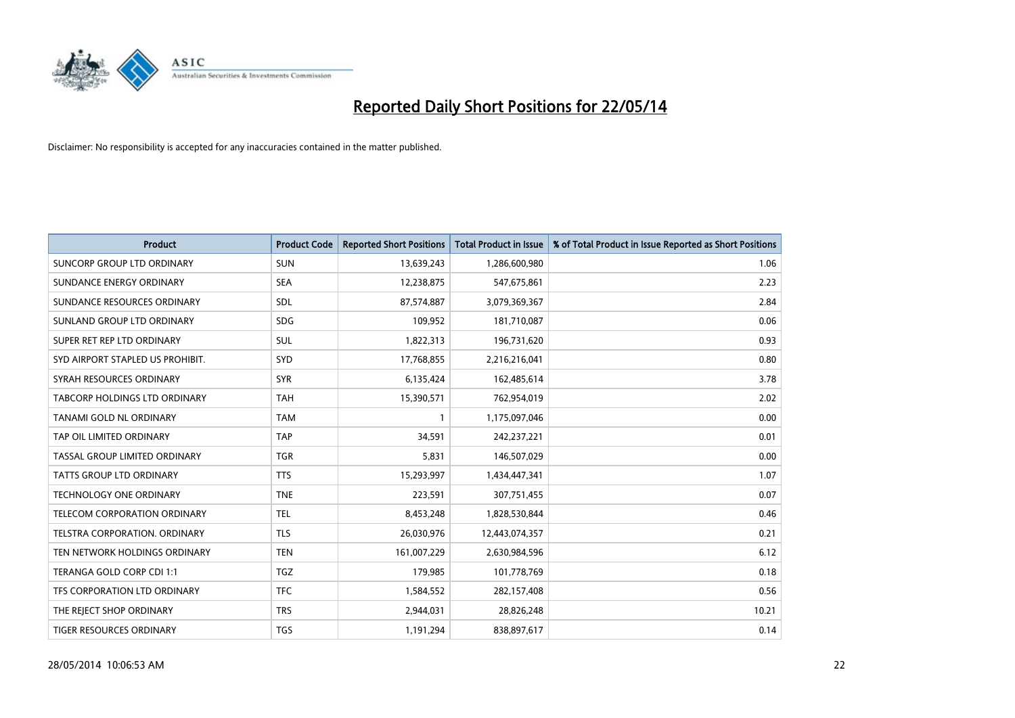

| <b>Product</b>                   | <b>Product Code</b> | <b>Reported Short Positions</b> | <b>Total Product in Issue</b> | % of Total Product in Issue Reported as Short Positions |
|----------------------------------|---------------------|---------------------------------|-------------------------------|---------------------------------------------------------|
| SUNCORP GROUP LTD ORDINARY       | <b>SUN</b>          | 13,639,243                      | 1,286,600,980                 | 1.06                                                    |
| SUNDANCE ENERGY ORDINARY         | <b>SEA</b>          | 12,238,875                      | 547,675,861                   | 2.23                                                    |
| SUNDANCE RESOURCES ORDINARY      | SDL                 | 87,574,887                      | 3,079,369,367                 | 2.84                                                    |
| SUNLAND GROUP LTD ORDINARY       | <b>SDG</b>          | 109,952                         | 181,710,087                   | 0.06                                                    |
| SUPER RET REP LTD ORDINARY       | SUL                 | 1,822,313                       | 196,731,620                   | 0.93                                                    |
| SYD AIRPORT STAPLED US PROHIBIT. | SYD                 | 17,768,855                      | 2,216,216,041                 | 0.80                                                    |
| SYRAH RESOURCES ORDINARY         | <b>SYR</b>          | 6,135,424                       | 162,485,614                   | 3.78                                                    |
| TABCORP HOLDINGS LTD ORDINARY    | <b>TAH</b>          | 15,390,571                      | 762,954,019                   | 2.02                                                    |
| TANAMI GOLD NL ORDINARY          | <b>TAM</b>          | 1                               | 1,175,097,046                 | 0.00                                                    |
| TAP OIL LIMITED ORDINARY         | <b>TAP</b>          | 34,591                          | 242,237,221                   | 0.01                                                    |
| TASSAL GROUP LIMITED ORDINARY    | <b>TGR</b>          | 5,831                           | 146,507,029                   | 0.00                                                    |
| <b>TATTS GROUP LTD ORDINARY</b>  | <b>TTS</b>          | 15,293,997                      | 1,434,447,341                 | 1.07                                                    |
| TECHNOLOGY ONE ORDINARY          | <b>TNE</b>          | 223,591                         | 307,751,455                   | 0.07                                                    |
| TELECOM CORPORATION ORDINARY     | <b>TEL</b>          | 8,453,248                       | 1,828,530,844                 | 0.46                                                    |
| TELSTRA CORPORATION, ORDINARY    | <b>TLS</b>          | 26,030,976                      | 12,443,074,357                | 0.21                                                    |
| TEN NETWORK HOLDINGS ORDINARY    | <b>TEN</b>          | 161,007,229                     | 2,630,984,596                 | 6.12                                                    |
| TERANGA GOLD CORP CDI 1:1        | <b>TGZ</b>          | 179,985                         | 101,778,769                   | 0.18                                                    |
| TFS CORPORATION LTD ORDINARY     | <b>TFC</b>          | 1,584,552                       | 282,157,408                   | 0.56                                                    |
| THE REJECT SHOP ORDINARY         | <b>TRS</b>          | 2,944,031                       | 28,826,248                    | 10.21                                                   |
| <b>TIGER RESOURCES ORDINARY</b>  | <b>TGS</b>          | 1,191,294                       | 838,897,617                   | 0.14                                                    |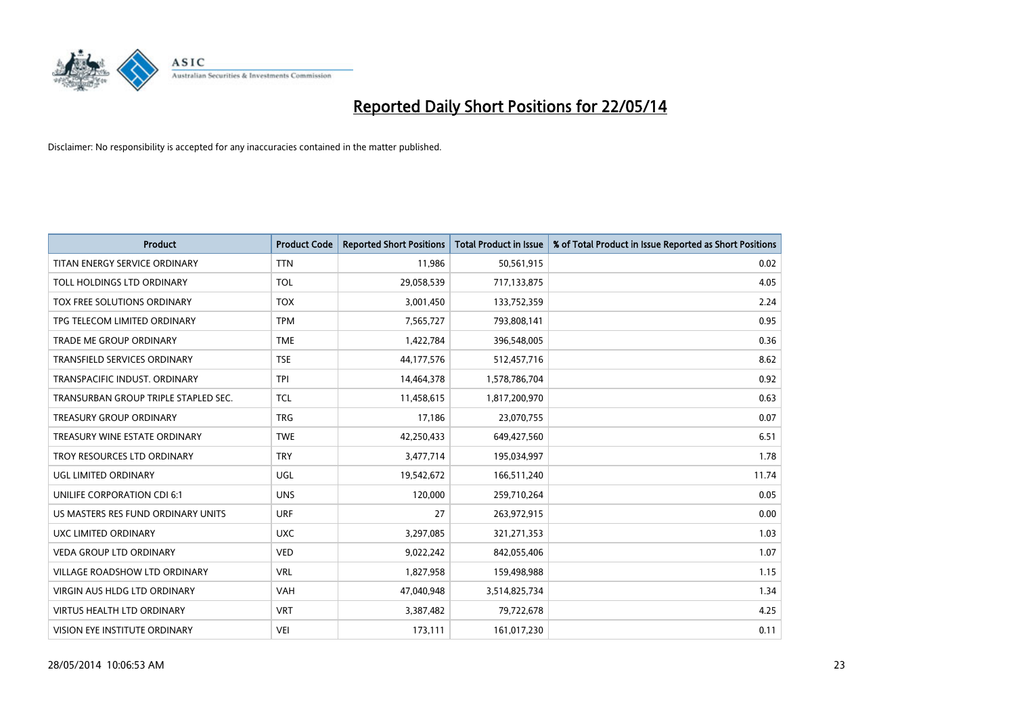

| <b>Product</b>                       | <b>Product Code</b> | <b>Reported Short Positions</b> | <b>Total Product in Issue</b> | % of Total Product in Issue Reported as Short Positions |
|--------------------------------------|---------------------|---------------------------------|-------------------------------|---------------------------------------------------------|
| TITAN ENERGY SERVICE ORDINARY        | <b>TTN</b>          | 11,986                          | 50,561,915                    | 0.02                                                    |
| TOLL HOLDINGS LTD ORDINARY           | <b>TOL</b>          | 29,058,539                      | 717,133,875                   | 4.05                                                    |
| TOX FREE SOLUTIONS ORDINARY          | <b>TOX</b>          | 3,001,450                       | 133,752,359                   | 2.24                                                    |
| TPG TELECOM LIMITED ORDINARY         | <b>TPM</b>          | 7,565,727                       | 793,808,141                   | 0.95                                                    |
| <b>TRADE ME GROUP ORDINARY</b>       | <b>TME</b>          | 1,422,784                       | 396,548,005                   | 0.36                                                    |
| <b>TRANSFIELD SERVICES ORDINARY</b>  | <b>TSE</b>          | 44,177,576                      | 512,457,716                   | 8.62                                                    |
| TRANSPACIFIC INDUST, ORDINARY        | <b>TPI</b>          | 14,464,378                      | 1,578,786,704                 | 0.92                                                    |
| TRANSURBAN GROUP TRIPLE STAPLED SEC. | <b>TCL</b>          | 11,458,615                      | 1,817,200,970                 | 0.63                                                    |
| <b>TREASURY GROUP ORDINARY</b>       | <b>TRG</b>          | 17,186                          | 23,070,755                    | 0.07                                                    |
| TREASURY WINE ESTATE ORDINARY        | <b>TWE</b>          | 42,250,433                      | 649,427,560                   | 6.51                                                    |
| TROY RESOURCES LTD ORDINARY          | <b>TRY</b>          | 3,477,714                       | 195,034,997                   | 1.78                                                    |
| UGL LIMITED ORDINARY                 | UGL                 | 19,542,672                      | 166,511,240                   | 11.74                                                   |
| UNILIFE CORPORATION CDI 6:1          | <b>UNS</b>          | 120,000                         | 259,710,264                   | 0.05                                                    |
| US MASTERS RES FUND ORDINARY UNITS   | <b>URF</b>          | 27                              | 263,972,915                   | 0.00                                                    |
| UXC LIMITED ORDINARY                 | <b>UXC</b>          | 3,297,085                       | 321,271,353                   | 1.03                                                    |
| <b>VEDA GROUP LTD ORDINARY</b>       | <b>VED</b>          | 9,022,242                       | 842,055,406                   | 1.07                                                    |
| VILLAGE ROADSHOW LTD ORDINARY        | <b>VRL</b>          | 1,827,958                       | 159,498,988                   | 1.15                                                    |
| <b>VIRGIN AUS HLDG LTD ORDINARY</b>  | <b>VAH</b>          | 47,040,948                      | 3,514,825,734                 | 1.34                                                    |
| <b>VIRTUS HEALTH LTD ORDINARY</b>    | <b>VRT</b>          | 3,387,482                       | 79,722,678                    | 4.25                                                    |
| VISION EYE INSTITUTE ORDINARY        | <b>VEI</b>          | 173,111                         | 161,017,230                   | 0.11                                                    |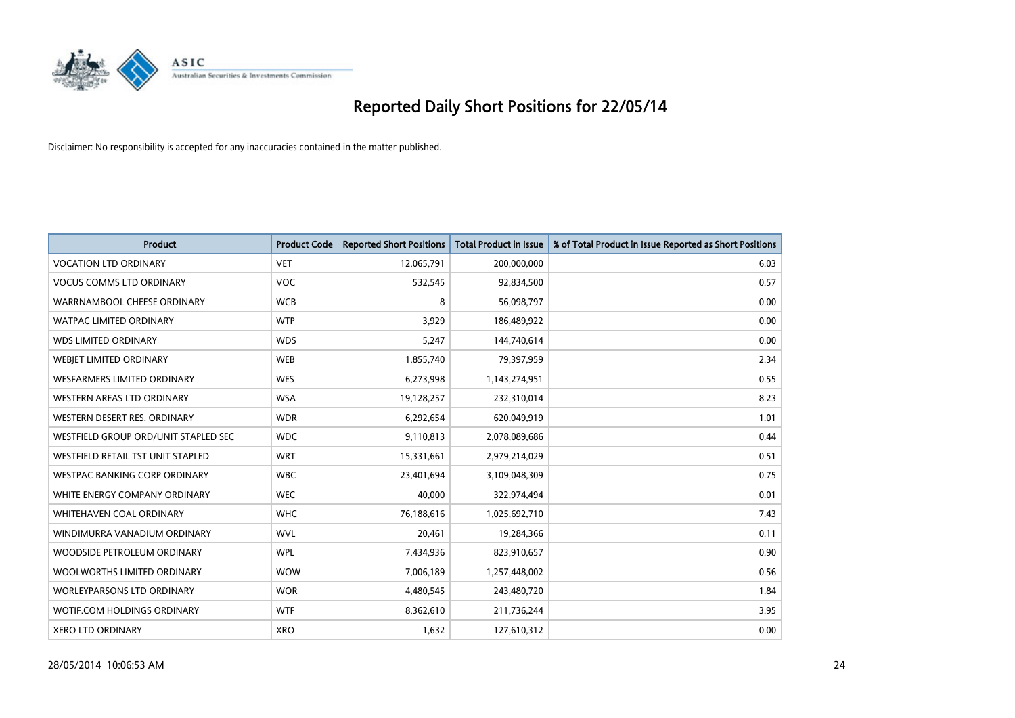

| <b>Product</b>                       | <b>Product Code</b> | <b>Reported Short Positions</b> | <b>Total Product in Issue</b> | % of Total Product in Issue Reported as Short Positions |
|--------------------------------------|---------------------|---------------------------------|-------------------------------|---------------------------------------------------------|
| <b>VOCATION LTD ORDINARY</b>         | <b>VET</b>          | 12,065,791                      | 200,000,000                   | 6.03                                                    |
| <b>VOCUS COMMS LTD ORDINARY</b>      | VOC                 | 532,545                         | 92,834,500                    | 0.57                                                    |
| WARRNAMBOOL CHEESE ORDINARY          | <b>WCB</b>          | 8                               | 56,098,797                    | 0.00                                                    |
| WATPAC LIMITED ORDINARY              | <b>WTP</b>          | 3,929                           | 186,489,922                   | 0.00                                                    |
| <b>WDS LIMITED ORDINARY</b>          | <b>WDS</b>          | 5,247                           | 144,740,614                   | 0.00                                                    |
| WEBJET LIMITED ORDINARY              | <b>WEB</b>          | 1,855,740                       | 79,397,959                    | 2.34                                                    |
| <b>WESFARMERS LIMITED ORDINARY</b>   | <b>WES</b>          | 6,273,998                       | 1,143,274,951                 | 0.55                                                    |
| WESTERN AREAS LTD ORDINARY           | <b>WSA</b>          | 19,128,257                      | 232,310,014                   | 8.23                                                    |
| WESTERN DESERT RES. ORDINARY         | <b>WDR</b>          | 6,292,654                       | 620,049,919                   | 1.01                                                    |
| WESTFIELD GROUP ORD/UNIT STAPLED SEC | <b>WDC</b>          | 9,110,813                       | 2,078,089,686                 | 0.44                                                    |
| WESTFIELD RETAIL TST UNIT STAPLED    | <b>WRT</b>          | 15,331,661                      | 2,979,214,029                 | 0.51                                                    |
| <b>WESTPAC BANKING CORP ORDINARY</b> | <b>WBC</b>          | 23,401,694                      | 3,109,048,309                 | 0.75                                                    |
| WHITE ENERGY COMPANY ORDINARY        | <b>WEC</b>          | 40,000                          | 322,974,494                   | 0.01                                                    |
| WHITEHAVEN COAL ORDINARY             | <b>WHC</b>          | 76,188,616                      | 1,025,692,710                 | 7.43                                                    |
| WINDIMURRA VANADIUM ORDINARY         | <b>WVL</b>          | 20,461                          | 19,284,366                    | 0.11                                                    |
| WOODSIDE PETROLEUM ORDINARY          | <b>WPL</b>          | 7,434,936                       | 823,910,657                   | 0.90                                                    |
| WOOLWORTHS LIMITED ORDINARY          | <b>WOW</b>          | 7,006,189                       | 1,257,448,002                 | 0.56                                                    |
| WORLEYPARSONS LTD ORDINARY           | <b>WOR</b>          | 4,480,545                       | 243,480,720                   | 1.84                                                    |
| WOTIF.COM HOLDINGS ORDINARY          | <b>WTF</b>          | 8,362,610                       | 211,736,244                   | 3.95                                                    |
| <b>XERO LTD ORDINARY</b>             | <b>XRO</b>          | 1,632                           | 127,610,312                   | 0.00                                                    |